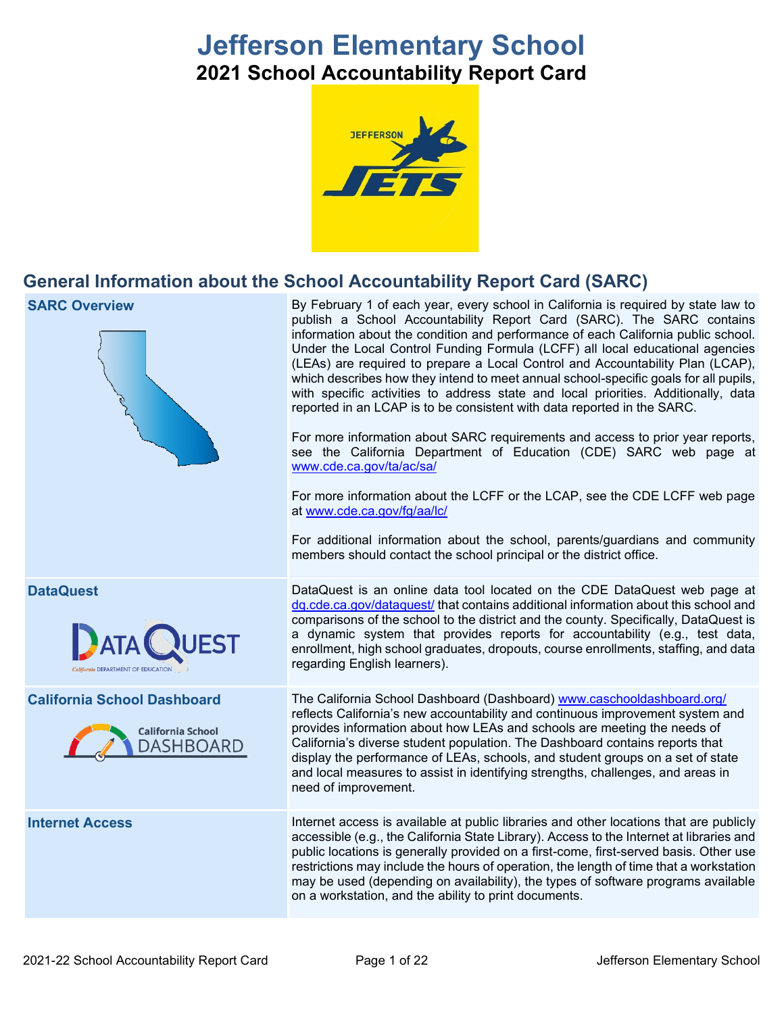# **Jefferson Elementary School 2021 School Accountability Report Card**



## **General Information about the School Accountability Report Card (SARC)**

| <b>SARC Overview</b>                                                               | By February 1 of each year, every school in California is required by state law to<br>publish a School Accountability Report Card (SARC). The SARC contains<br>information about the condition and performance of each California public school.<br>Under the Local Control Funding Formula (LCFF) all local educational agencies<br>(LEAs) are required to prepare a Local Control and Accountability Plan (LCAP),<br>which describes how they intend to meet annual school-specific goals for all pupils,<br>with specific activities to address state and local priorities. Additionally, data<br>reported in an LCAP is to be consistent with data reported in the SARC.<br>For more information about SARC requirements and access to prior year reports,<br>see the California Department of Education (CDE) SARC web page at<br>www.cde.ca.gov/ta/ac/sa/<br>For more information about the LCFF or the LCAP, see the CDE LCFF web page<br>at www.cde.ca.gov/fg/aa/lc/<br>For additional information about the school, parents/guardians and community<br>members should contact the school principal or the district office. |
|------------------------------------------------------------------------------------|-------------------------------------------------------------------------------------------------------------------------------------------------------------------------------------------------------------------------------------------------------------------------------------------------------------------------------------------------------------------------------------------------------------------------------------------------------------------------------------------------------------------------------------------------------------------------------------------------------------------------------------------------------------------------------------------------------------------------------------------------------------------------------------------------------------------------------------------------------------------------------------------------------------------------------------------------------------------------------------------------------------------------------------------------------------------------------------------------------------------------------------|
| <b>DataQuest</b><br><b>Armin DEPARTMENT OF EDUCATION</b>                           | DataQuest is an online data tool located on the CDE DataQuest web page at<br>dq.cde.ca.gov/dataquest/ that contains additional information about this school and<br>comparisons of the school to the district and the county. Specifically, DataQuest is<br>a dynamic system that provides reports for accountability (e.g., test data,<br>enrollment, high school graduates, dropouts, course enrollments, staffing, and data<br>regarding English learners).                                                                                                                                                                                                                                                                                                                                                                                                                                                                                                                                                                                                                                                                      |
| <b>California School Dashboard</b><br><b>California School</b><br><b>DASHBOARD</b> | The California School Dashboard (Dashboard) www.caschooldashboard.org/<br>reflects California's new accountability and continuous improvement system and<br>provides information about how LEAs and schools are meeting the needs of<br>California's diverse student population. The Dashboard contains reports that<br>display the performance of LEAs, schools, and student groups on a set of state<br>and local measures to assist in identifying strengths, challenges, and areas in<br>need of improvement.                                                                                                                                                                                                                                                                                                                                                                                                                                                                                                                                                                                                                   |
| <b>Internet Access</b>                                                             | Internet access is available at public libraries and other locations that are publicly<br>accessible (e.g., the California State Library). Access to the Internet at libraries and<br>public locations is generally provided on a first-come, first-served basis. Other use<br>restrictions may include the hours of operation, the length of time that a workstation<br>may be used (depending on availability), the types of software programs available<br>on a workstation, and the ability to print documents.                                                                                                                                                                                                                                                                                                                                                                                                                                                                                                                                                                                                                 |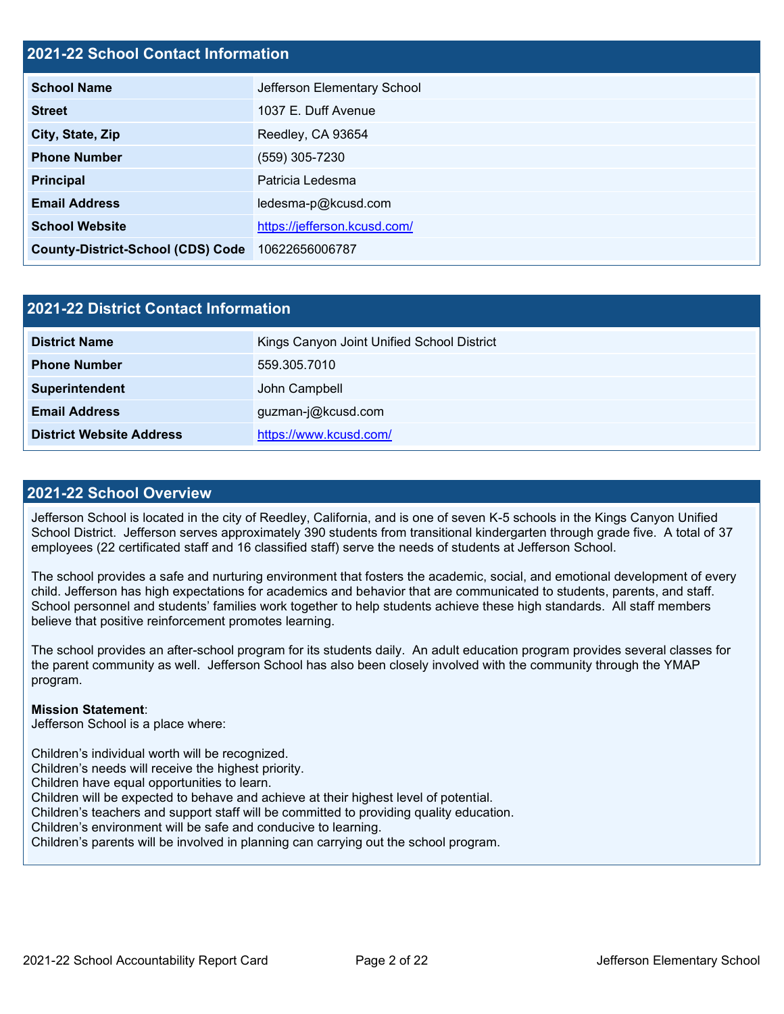## **2021-22 School Contact Information**

| <b>School Name</b>                       | Jefferson Elementary School  |
|------------------------------------------|------------------------------|
| <b>Street</b>                            | 1037 E. Duff Avenue          |
| City, State, Zip                         | Reedley, CA 93654            |
| <b>Phone Number</b>                      | (559) 305-7230               |
| <b>Principal</b>                         | Patricia Ledesma             |
| <b>Email Address</b>                     | ledesma-p@kcusd.com          |
| <b>School Website</b>                    | https://jefferson.kcusd.com/ |
| <b>County-District-School (CDS) Code</b> | 10622656006787               |

| 2021-22 District Contact Information |                                            |  |  |  |
|--------------------------------------|--------------------------------------------|--|--|--|
| <b>District Name</b>                 | Kings Canyon Joint Unified School District |  |  |  |
| <b>Phone Number</b>                  | 559.305.7010                               |  |  |  |
| Superintendent                       | John Campbell                              |  |  |  |
| <b>Email Address</b>                 | guzman-j@kcusd.com                         |  |  |  |
| <b>District Website Address</b>      | https://www.kcusd.com/                     |  |  |  |

### **2021-22 School Overview**

Jefferson School is located in the city of Reedley, California, and is one of seven K-5 schools in the Kings Canyon Unified School District. Jefferson serves approximately 390 students from transitional kindergarten through grade five. A total of 37 employees (22 certificated staff and 16 classified staff) serve the needs of students at Jefferson School.

The school provides a safe and nurturing environment that fosters the academic, social, and emotional development of every child. Jefferson has high expectations for academics and behavior that are communicated to students, parents, and staff. School personnel and students' families work together to help students achieve these high standards. All staff members believe that positive reinforcement promotes learning.

The school provides an after-school program for its students daily. An adult education program provides several classes for the parent community as well. Jefferson School has also been closely involved with the community through the YMAP program.

#### **Mission Statement**:

Jefferson School is a place where:

Children's individual worth will be recognized.

Children's needs will receive the highest priority.

Children have equal opportunities to learn.

Children will be expected to behave and achieve at their highest level of potential.

Children's teachers and support staff will be committed to providing quality education.

Children's environment will be safe and conducive to learning.

Children's parents will be involved in planning can carrying out the school program.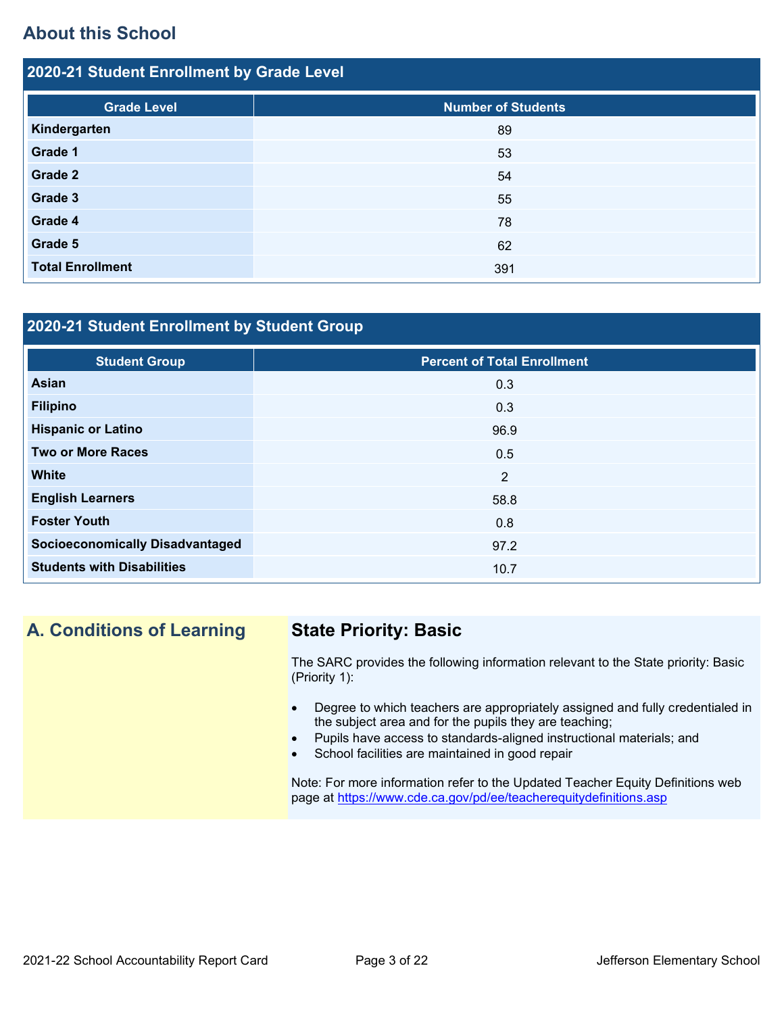## **About this School**

| 2020-21 Student Enrollment by Grade Level |                           |  |  |  |
|-------------------------------------------|---------------------------|--|--|--|
| <b>Grade Level</b>                        | <b>Number of Students</b> |  |  |  |
| Kindergarten                              | 89                        |  |  |  |
| Grade 1                                   | 53                        |  |  |  |
| Grade 2                                   | 54                        |  |  |  |
| Grade 3                                   | 55                        |  |  |  |
| Grade 4                                   | 78                        |  |  |  |
| Grade 5                                   | 62                        |  |  |  |
| <b>Total Enrollment</b>                   | 391                       |  |  |  |

## **2020-21 Student Enrollment by Student Group**

| <b>Student Group</b>                   | <b>Percent of Total Enrollment</b> |
|----------------------------------------|------------------------------------|
|                                        |                                    |
| <b>Asian</b>                           | 0.3                                |
| <b>Filipino</b>                        | 0.3                                |
| <b>Hispanic or Latino</b>              | 96.9                               |
| <b>Two or More Races</b>               | 0.5                                |
| <b>White</b>                           | 2                                  |
| <b>English Learners</b>                | 58.8                               |
| <b>Foster Youth</b>                    | 0.8                                |
| <b>Socioeconomically Disadvantaged</b> | 97.2                               |
| <b>Students with Disabilities</b>      | 10.7                               |

## **A. Conditions of Learning State Priority: Basic**

The SARC provides the following information relevant to the State priority: Basic (Priority 1):

- Degree to which teachers are appropriately assigned and fully credentialed in the subject area and for the pupils they are teaching;
- Pupils have access to standards-aligned instructional materials; and
- School facilities are maintained in good repair

Note: For more information refer to the Updated Teacher Equity Definitions web page at<https://www.cde.ca.gov/pd/ee/teacherequitydefinitions.asp>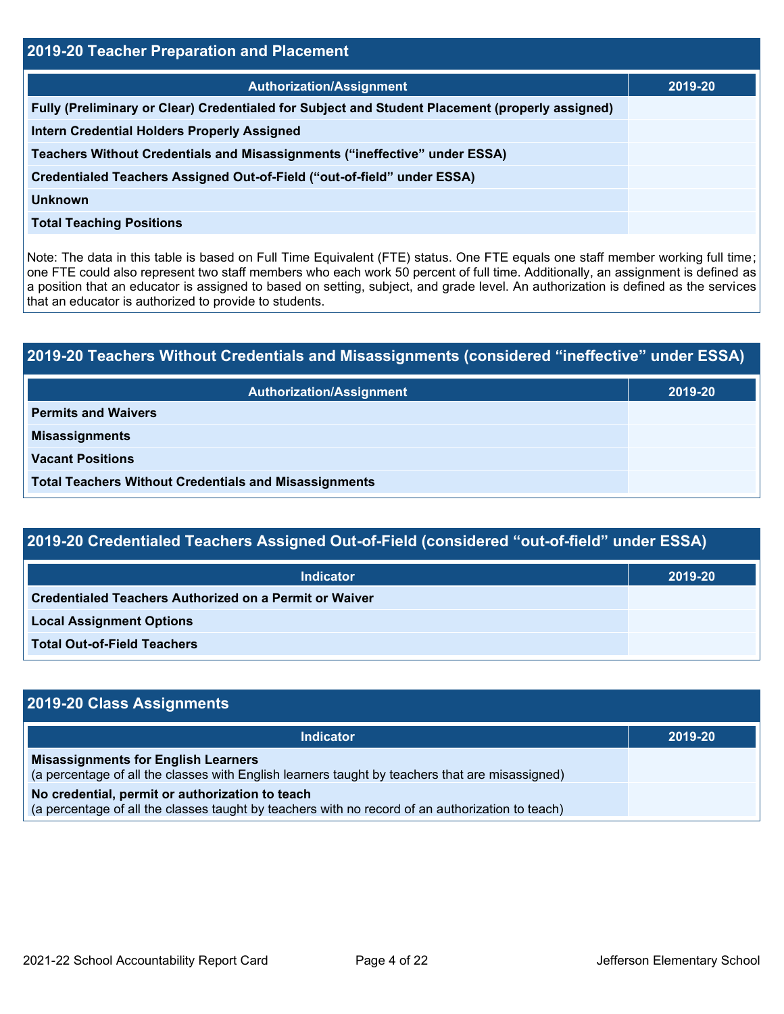| <b>2019-20 Teacher Preparation and Placement</b>                                                |         |  |  |  |
|-------------------------------------------------------------------------------------------------|---------|--|--|--|
| <b>Authorization/Assignment</b>                                                                 | 2019-20 |  |  |  |
| Fully (Preliminary or Clear) Credentialed for Subject and Student Placement (properly assigned) |         |  |  |  |
| <b>Intern Credential Holders Properly Assigned</b>                                              |         |  |  |  |
| Teachers Without Credentials and Misassignments ("ineffective" under ESSA)                      |         |  |  |  |
| Credentialed Teachers Assigned Out-of-Field ("out-of-field" under ESSA)                         |         |  |  |  |
| <b>Unknown</b>                                                                                  |         |  |  |  |
| <b>Total Teaching Positions</b>                                                                 |         |  |  |  |

Note: The data in this table is based on Full Time Equivalent (FTE) status. One FTE equals one staff member working full time; one FTE could also represent two staff members who each work 50 percent of full time. Additionally, an assignment is defined as a position that an educator is assigned to based on setting, subject, and grade level. An authorization is defined as the services that an educator is authorized to provide to students.

# **2019-20 Teachers Without Credentials and Misassignments (considered "ineffective" under ESSA) Authorization/Assignment 2019-20 Permits and Waivers Misassignments Vacant Positions Total Teachers Without Credentials and Misassignments**

| 2019-20 Credentialed Teachers Assigned Out-of-Field (considered "out-of-field" under ESSA) |         |  |  |  |
|--------------------------------------------------------------------------------------------|---------|--|--|--|
| <b>Indicator</b>                                                                           | 2019-20 |  |  |  |
| Credentialed Teachers Authorized on a Permit or Waiver                                     |         |  |  |  |
| <b>Local Assignment Options</b>                                                            |         |  |  |  |
| <b>Total Out-of-Field Teachers</b>                                                         |         |  |  |  |

| 2019-20 Class Assignments                                                                                                                           |         |
|-----------------------------------------------------------------------------------------------------------------------------------------------------|---------|
| <b>Indicator</b>                                                                                                                                    | 2019-20 |
| <b>Misassignments for English Learners</b><br>(a percentage of all the classes with English learners taught by teachers that are misassigned)       |         |
| No credential, permit or authorization to teach<br>(a percentage of all the classes taught by teachers with no record of an authorization to teach) |         |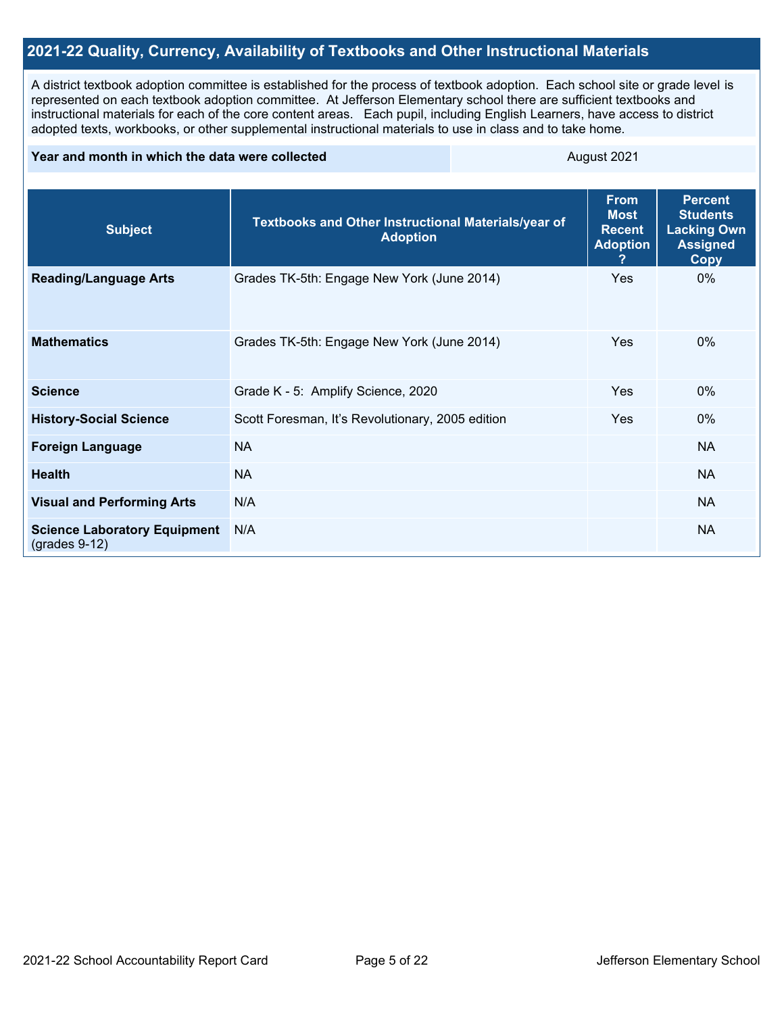## **2021-22 Quality, Currency, Availability of Textbooks and Other Instructional Materials**

A district textbook adoption committee is established for the process of textbook adoption. Each school site or grade level is represented on each textbook adoption committee. At Jefferson Elementary school there are sufficient textbooks and instructional materials for each of the core content areas. Each pupil, including English Learners, have access to district adopted texts, workbooks, or other supplemental instructional materials to use in class and to take home.

#### **Year and month in which the data were collected** August 2021

| <b>Subject</b>                                         | Textbooks and Other Instructional Materials/year of<br><b>Adoption</b> | <b>From</b><br><b>Most</b><br><b>Recent</b><br><b>Adoption</b> | <b>Percent</b><br><b>Students</b><br><b>Lacking Own</b><br><b>Assigned</b><br><b>Copy</b> |
|--------------------------------------------------------|------------------------------------------------------------------------|----------------------------------------------------------------|-------------------------------------------------------------------------------------------|
| <b>Reading/Language Arts</b>                           | Grades TK-5th: Engage New York (June 2014)                             | Yes                                                            | 0%                                                                                        |
| <b>Mathematics</b>                                     | Grades TK-5th: Engage New York (June 2014)                             | <b>Yes</b>                                                     | $0\%$                                                                                     |
| <b>Science</b>                                         | Grade K - 5: Amplify Science, 2020                                     | <b>Yes</b>                                                     | 0%                                                                                        |
| <b>History-Social Science</b>                          | Scott Foresman, It's Revolutionary, 2005 edition                       | <b>Yes</b>                                                     | 0%                                                                                        |
| <b>Foreign Language</b>                                | <b>NA</b>                                                              |                                                                | <b>NA</b>                                                                                 |
| <b>Health</b>                                          | <b>NA</b>                                                              |                                                                | <b>NA</b>                                                                                 |
| <b>Visual and Performing Arts</b>                      | N/A                                                                    |                                                                | <b>NA</b>                                                                                 |
| <b>Science Laboratory Equipment</b><br>$(grades 9-12)$ | N/A                                                                    |                                                                | <b>NA</b>                                                                                 |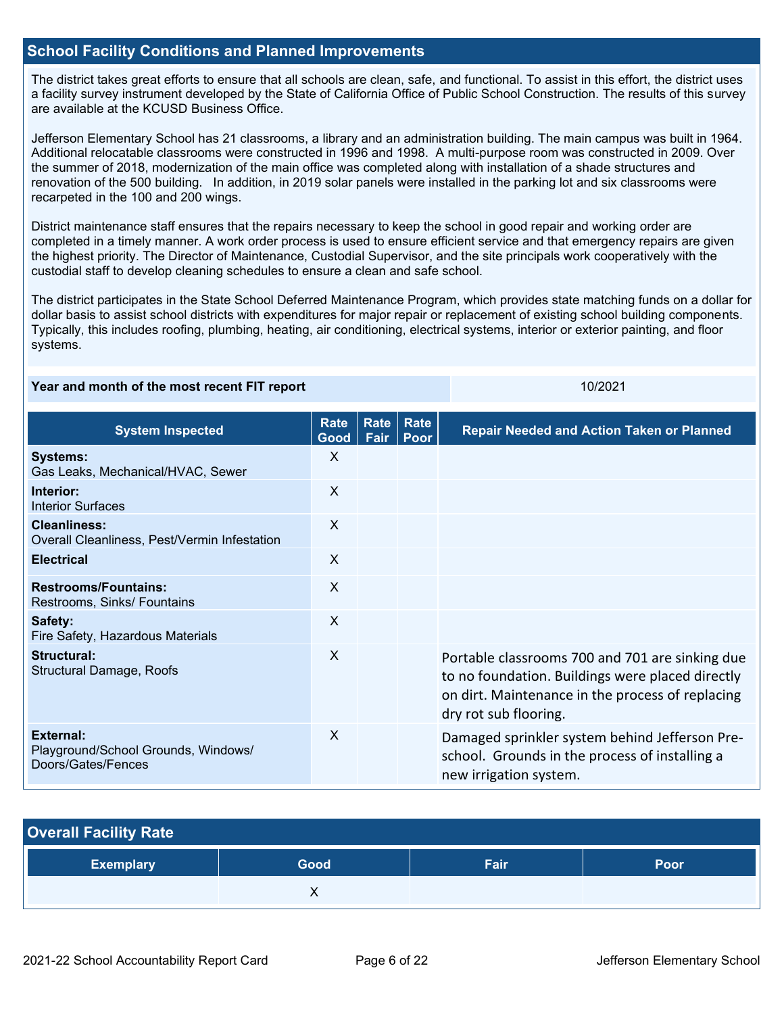## **School Facility Conditions and Planned Improvements**

The district takes great efforts to ensure that all schools are clean, safe, and functional. To assist in this effort, the district uses a facility survey instrument developed by the State of California Office of Public School Construction. The results of this survey are available at the KCUSD Business Office.

Jefferson Elementary School has 21 classrooms, a library and an administration building. The main campus was built in 1964. Additional relocatable classrooms were constructed in 1996 and 1998. A multi-purpose room was constructed in 2009. Over the summer of 2018, modernization of the main office was completed along with installation of a shade structures and renovation of the 500 building. In addition, in 2019 solar panels were installed in the parking lot and six classrooms were recarpeted in the 100 and 200 wings.

District maintenance staff ensures that the repairs necessary to keep the school in good repair and working order are completed in a timely manner. A work order process is used to ensure efficient service and that emergency repairs are given the highest priority. The Director of Maintenance, Custodial Supervisor, and the site principals work cooperatively with the custodial staff to develop cleaning schedules to ensure a clean and safe school.

The district participates in the State School Deferred Maintenance Program, which provides state matching funds on a dollar for dollar basis to assist school districts with expenditures for major repair or replacement of existing school building components. Typically, this includes roofing, plumbing, heating, air conditioning, electrical systems, interior or exterior painting, and floor systems.

### **Year and month of the most recent FIT report** 10/2021

**System Inspected Rate Good Rate Rate Fair Poor Repair Needed and Action Taken or Planned Systems:** Gas Leaks, Mechanical/HVAC, Sewer X **Interior:** Interior Surfaces X **Cleanliness:** Overall Cleanliness, Pest/Vermin Infestation X **Electrical** X **Restrooms/Fountains:** Restrooms, Sinks/ Fountains X **Safety:** Fire Safety, Hazardous Materials X **Structural:** Structural Damage, Roofs X Portable classrooms 700 and 701 are sinking due to no foundation. Buildings were placed directly on dirt. Maintenance in the process of replacing dry rot sub flooring. **External:** Playground/School Grounds, Windows/ Doors/Gates/Fences X Damaged sprinkler system behind Jefferson Preschool. Grounds in the process of installing a new irrigation system.

| <b>Overall Facility Rate</b> |      |      |      |
|------------------------------|------|------|------|
| <b>Exemplary</b>             | Good | Fair | Poor |
|                              |      |      |      |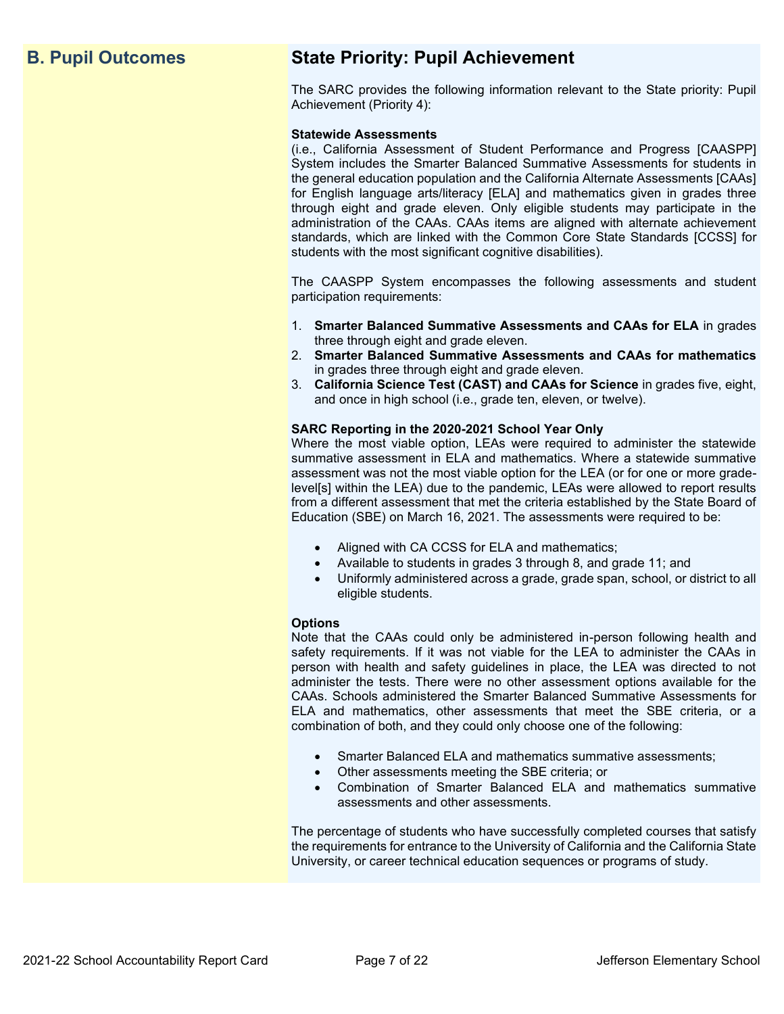## **B. Pupil Outcomes State Priority: Pupil Achievement**

The SARC provides the following information relevant to the State priority: Pupil Achievement (Priority 4):

#### **Statewide Assessments**

(i.e., California Assessment of Student Performance and Progress [CAASPP] System includes the Smarter Balanced Summative Assessments for students in the general education population and the California Alternate Assessments [CAAs] for English language arts/literacy [ELA] and mathematics given in grades three through eight and grade eleven. Only eligible students may participate in the administration of the CAAs. CAAs items are aligned with alternate achievement standards, which are linked with the Common Core State Standards [CCSS] for students with the most significant cognitive disabilities).

The CAASPP System encompasses the following assessments and student participation requirements:

- 1. **Smarter Balanced Summative Assessments and CAAs for ELA** in grades three through eight and grade eleven.
- 2. **Smarter Balanced Summative Assessments and CAAs for mathematics** in grades three through eight and grade eleven.
- 3. **California Science Test (CAST) and CAAs for Science** in grades five, eight, and once in high school (i.e., grade ten, eleven, or twelve).

#### **SARC Reporting in the 2020-2021 School Year Only**

Where the most viable option, LEAs were required to administer the statewide summative assessment in ELA and mathematics. Where a statewide summative assessment was not the most viable option for the LEA (or for one or more gradelevel[s] within the LEA) due to the pandemic, LEAs were allowed to report results from a different assessment that met the criteria established by the State Board of Education (SBE) on March 16, 2021. The assessments were required to be:

- Aligned with CA CCSS for ELA and mathematics;
- Available to students in grades 3 through 8, and grade 11; and
- Uniformly administered across a grade, grade span, school, or district to all eligible students.

#### **Options**

Note that the CAAs could only be administered in-person following health and safety requirements. If it was not viable for the LEA to administer the CAAs in person with health and safety guidelines in place, the LEA was directed to not administer the tests. There were no other assessment options available for the CAAs. Schools administered the Smarter Balanced Summative Assessments for ELA and mathematics, other assessments that meet the SBE criteria, or a combination of both, and they could only choose one of the following:

- Smarter Balanced ELA and mathematics summative assessments;
- Other assessments meeting the SBE criteria; or
- Combination of Smarter Balanced ELA and mathematics summative assessments and other assessments.

The percentage of students who have successfully completed courses that satisfy the requirements for entrance to the University of California and the California State University, or career technical education sequences or programs of study.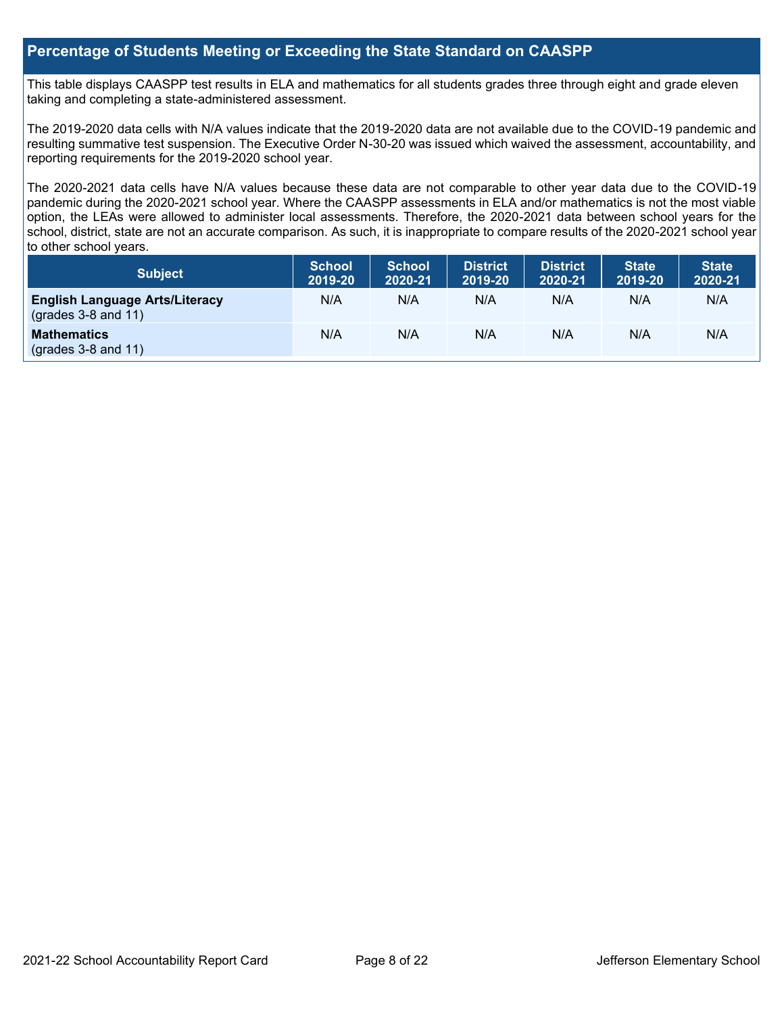## **Percentage of Students Meeting or Exceeding the State Standard on CAASPP**

This table displays CAASPP test results in ELA and mathematics for all students grades three through eight and grade eleven taking and completing a state-administered assessment.

The 2019-2020 data cells with N/A values indicate that the 2019-2020 data are not available due to the COVID-19 pandemic and resulting summative test suspension. The Executive Order N-30-20 was issued which waived the assessment, accountability, and reporting requirements for the 2019-2020 school year.

The 2020-2021 data cells have N/A values because these data are not comparable to other year data due to the COVID-19 pandemic during the 2020-2021 school year. Where the CAASPP assessments in ELA and/or mathematics is not the most viable option, the LEAs were allowed to administer local assessments. Therefore, the 2020-2021 data between school years for the school, district, state are not an accurate comparison. As such, it is inappropriate to compare results of the 2020-2021 school year to other school years.

| Subject                                                        | <b>School</b><br>2019-20 | <b>School</b><br>2020-21 | <b>District</b><br>2019-20 | <b>District</b><br>2020-21 | <b>State</b><br>2019-20 | <b>State</b><br>2020-21 |
|----------------------------------------------------------------|--------------------------|--------------------------|----------------------------|----------------------------|-------------------------|-------------------------|
| <b>English Language Arts/Literacy</b><br>$(grades 3-8 and 11)$ | N/A                      | N/A                      | N/A                        | N/A                        | N/A                     | N/A                     |
| <b>Mathematics</b><br>$(grades 3-8 and 11)$                    | N/A                      | N/A                      | N/A                        | N/A                        | N/A                     | N/A                     |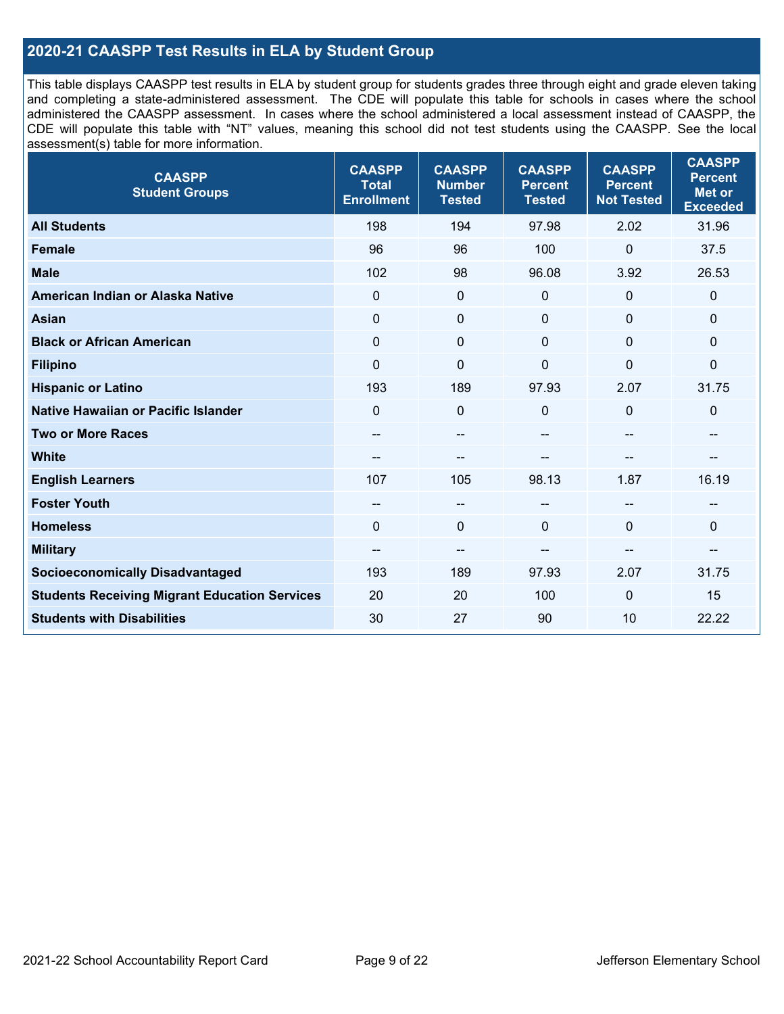## **2020-21 CAASPP Test Results in ELA by Student Group**

This table displays CAASPP test results in ELA by student group for students grades three through eight and grade eleven taking and completing a state-administered assessment. The CDE will populate this table for schools in cases where the school administered the CAASPP assessment. In cases where the school administered a local assessment instead of CAASPP, the CDE will populate this table with "NT" values, meaning this school did not test students using the CAASPP. See the local assessment(s) table for more information.

| <b>CAASPP</b><br><b>Student Groups</b>               | <b>CAASPP</b><br><b>Total</b><br><b>Enrollment</b> | <b>CAASPP</b><br><b>Number</b><br><b>Tested</b> | <b>CAASPP</b><br><b>Percent</b><br><b>Tested</b> | <b>CAASPP</b><br><b>Percent</b><br><b>Not Tested</b> | <b>CAASPP</b><br><b>Percent</b><br><b>Met or</b><br><b>Exceeded</b> |
|------------------------------------------------------|----------------------------------------------------|-------------------------------------------------|--------------------------------------------------|------------------------------------------------------|---------------------------------------------------------------------|
| <b>All Students</b>                                  | 198                                                | 194                                             | 97.98                                            | 2.02                                                 | 31.96                                                               |
| <b>Female</b>                                        | 96                                                 | 96                                              | 100                                              | $\overline{0}$                                       | 37.5                                                                |
| <b>Male</b>                                          | 102                                                | 98                                              | 96.08                                            | 3.92                                                 | 26.53                                                               |
| American Indian or Alaska Native                     | $\mathbf 0$                                        | $\boldsymbol{0}$                                | 0                                                | $\mathbf 0$                                          | 0                                                                   |
| <b>Asian</b>                                         | $\mathbf 0$                                        | $\pmb{0}$                                       | $\mathbf{0}$                                     | $\Omega$                                             | 0                                                                   |
| <b>Black or African American</b>                     | $\mathbf 0$                                        | $\mathbf 0$                                     | $\mathbf{0}$                                     | $\Omega$                                             | 0                                                                   |
| <b>Filipino</b>                                      | $\mathbf 0$                                        | $\mathbf 0$                                     | $\mathbf 0$                                      | $\overline{0}$                                       | 0                                                                   |
| <b>Hispanic or Latino</b>                            | 193                                                | 189                                             | 97.93                                            | 2.07                                                 | 31.75                                                               |
| <b>Native Hawaiian or Pacific Islander</b>           | $\mathbf 0$                                        | $\mathbf 0$                                     | $\mathbf{0}$                                     | $\mathbf{0}$                                         | $\mathbf 0$                                                         |
| <b>Two or More Races</b>                             | --                                                 | $\overline{\phantom{m}}$                        |                                                  | --                                                   | --                                                                  |
| <b>White</b>                                         | $- -$                                              | $\overline{\phantom{a}}$                        | --                                               | --                                                   | --                                                                  |
| <b>English Learners</b>                              | 107                                                | 105                                             | 98.13                                            | 1.87                                                 | 16.19                                                               |
| <b>Foster Youth</b>                                  | $\qquad \qquad -$                                  | $\overline{\phantom{a}}$                        | --                                               | $\overline{a}$                                       | --                                                                  |
| <b>Homeless</b>                                      | $\Omega$                                           | $\mathbf 0$                                     | $\mathbf 0$                                      | $\Omega$                                             | 0                                                                   |
| <b>Military</b>                                      | $- -$                                              | --                                              |                                                  | --                                                   | --                                                                  |
| <b>Socioeconomically Disadvantaged</b>               | 193                                                | 189                                             | 97.93                                            | 2.07                                                 | 31.75                                                               |
| <b>Students Receiving Migrant Education Services</b> | 20                                                 | 20                                              | 100                                              | $\Omega$                                             | 15                                                                  |
| <b>Students with Disabilities</b>                    | 30                                                 | 27                                              | 90                                               | 10                                                   | 22.22                                                               |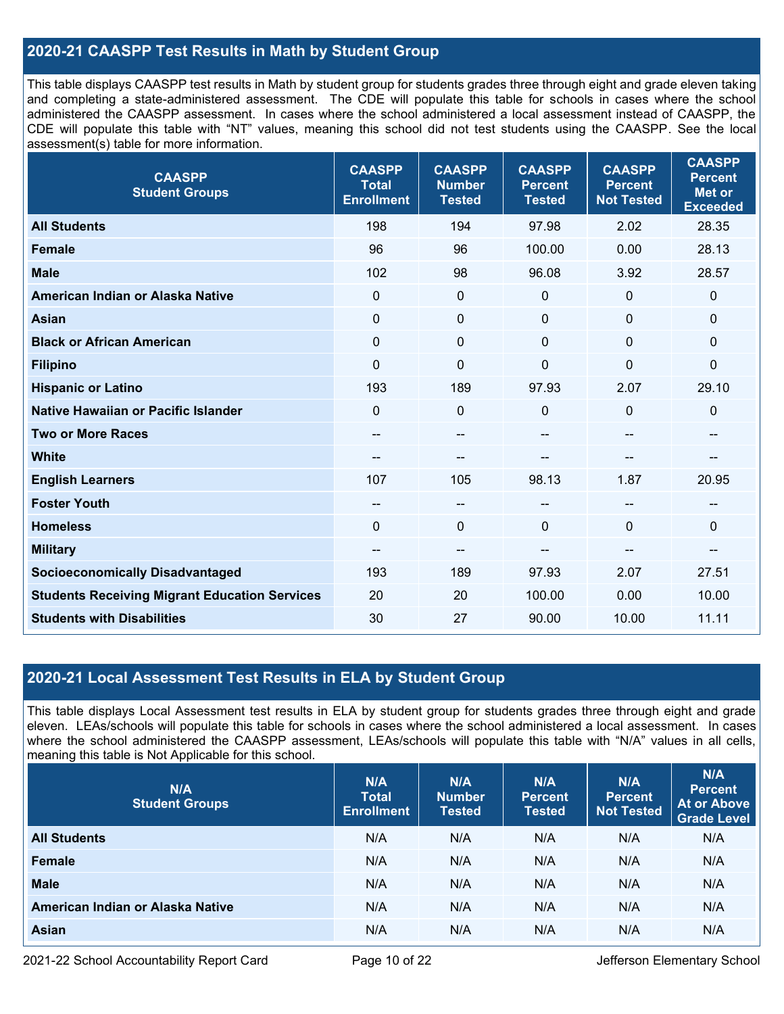## **2020-21 CAASPP Test Results in Math by Student Group**

This table displays CAASPP test results in Math by student group for students grades three through eight and grade eleven taking and completing a state-administered assessment. The CDE will populate this table for schools in cases where the school administered the CAASPP assessment. In cases where the school administered a local assessment instead of CAASPP, the CDE will populate this table with "NT" values, meaning this school did not test students using the CAASPP. See the local assessment(s) table for more information.

| <b>CAASPP</b><br><b>Student Groups</b>               | <b>CAASPP</b><br><b>Total</b><br><b>Enrollment</b> | <b>CAASPP</b><br><b>Number</b><br><b>Tested</b> | <b>CAASPP</b><br><b>Percent</b><br><b>Tested</b> | <b>CAASPP</b><br><b>Percent</b><br><b>Not Tested</b> | <b>CAASPP</b><br><b>Percent</b><br><b>Met or</b><br><b>Exceeded</b> |
|------------------------------------------------------|----------------------------------------------------|-------------------------------------------------|--------------------------------------------------|------------------------------------------------------|---------------------------------------------------------------------|
| <b>All Students</b>                                  | 198                                                | 194                                             | 97.98                                            | 2.02                                                 | 28.35                                                               |
| <b>Female</b>                                        | 96                                                 | 96                                              | 100.00                                           | 0.00                                                 | 28.13                                                               |
| <b>Male</b>                                          | 102                                                | 98                                              | 96.08                                            | 3.92                                                 | 28.57                                                               |
| American Indian or Alaska Native                     | $\mathbf{0}$                                       | $\mathbf 0$                                     | $\mathbf 0$                                      | $\mathbf 0$                                          | $\mathbf 0$                                                         |
| <b>Asian</b>                                         | $\mathbf 0$                                        | $\boldsymbol{0}$                                | $\mathbf 0$                                      | $\mathbf 0$                                          | $\mathbf 0$                                                         |
| <b>Black or African American</b>                     | $\mathbf 0$                                        | $\mathbf{0}$                                    | $\Omega$                                         | $\Omega$                                             | $\mathbf 0$                                                         |
| <b>Filipino</b>                                      | $\Omega$                                           | $\mathbf 0$                                     | 0                                                | $\overline{0}$                                       | $\mathbf 0$                                                         |
| <b>Hispanic or Latino</b>                            | 193                                                | 189                                             | 97.93                                            | 2.07                                                 | 29.10                                                               |
| <b>Native Hawaiian or Pacific Islander</b>           | $\Omega$                                           | 0                                               | 0                                                | $\Omega$                                             | $\mathbf 0$                                                         |
| <b>Two or More Races</b>                             | --                                                 | --                                              | $\sim$                                           | --                                                   | --                                                                  |
| <b>White</b>                                         | $- -$                                              | --                                              |                                                  |                                                      | --                                                                  |
| <b>English Learners</b>                              | 107                                                | 105                                             | 98.13                                            | 1.87                                                 | 20.95                                                               |
| <b>Foster Youth</b>                                  | $\qquad \qquad -$                                  | $-$                                             | $\sim$ $\sim$                                    |                                                      | --                                                                  |
| <b>Homeless</b>                                      | $\Omega$                                           | 0                                               | $\Omega$                                         | $\Omega$                                             | $\mathbf 0$                                                         |
| <b>Military</b>                                      | --                                                 | --                                              | $\overline{\phantom{a}}$                         | --                                                   | --                                                                  |
| <b>Socioeconomically Disadvantaged</b>               | 193                                                | 189                                             | 97.93                                            | 2.07                                                 | 27.51                                                               |
| <b>Students Receiving Migrant Education Services</b> | 20                                                 | 20                                              | 100.00                                           | 0.00                                                 | 10.00                                                               |
| <b>Students with Disabilities</b>                    | 30                                                 | 27                                              | 90.00                                            | 10.00                                                | 11.11                                                               |

## **2020-21 Local Assessment Test Results in ELA by Student Group**

This table displays Local Assessment test results in ELA by student group for students grades three through eight and grade eleven. LEAs/schools will populate this table for schools in cases where the school administered a local assessment. In cases where the school administered the CAASPP assessment, LEAs/schools will populate this table with "N/A" values in all cells, meaning this table is Not Applicable for this school.

| N/A<br><b>Student Groups</b>     | N/A<br><b>Total</b><br><b>Enrollment</b> | N/A<br><b>Number</b><br><b>Tested</b> | N/A<br><b>Percent</b><br><b>Tested</b> | N/A<br>Percent<br><b>Not Tested</b> | N/A<br><b>Percent</b><br><b>At or Above</b><br><b>Grade Level</b> |
|----------------------------------|------------------------------------------|---------------------------------------|----------------------------------------|-------------------------------------|-------------------------------------------------------------------|
| <b>All Students</b>              | N/A                                      | N/A                                   | N/A                                    | N/A                                 | N/A                                                               |
| Female                           | N/A                                      | N/A                                   | N/A                                    | N/A                                 | N/A                                                               |
| <b>Male</b>                      | N/A                                      | N/A                                   | N/A                                    | N/A                                 | N/A                                                               |
| American Indian or Alaska Native | N/A                                      | N/A                                   | N/A                                    | N/A                                 | N/A                                                               |
| <b>Asian</b>                     | N/A                                      | N/A                                   | N/A                                    | N/A                                 | N/A                                                               |

2021-22 School Accountability Report Card **Page 10 of 22** Jefferson Elementary School **Page 10** of 22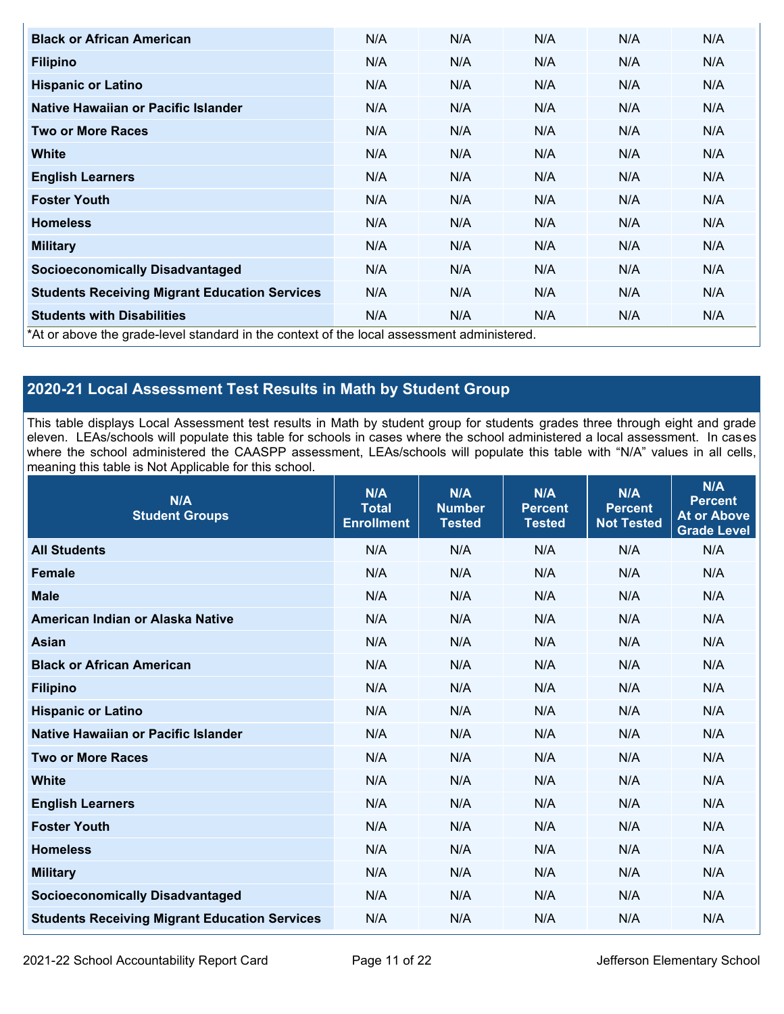| <b>Black or African American</b>                                                          | N/A | N/A | N/A | N/A | N/A |
|-------------------------------------------------------------------------------------------|-----|-----|-----|-----|-----|
| <b>Filipino</b>                                                                           | N/A | N/A | N/A | N/A | N/A |
| <b>Hispanic or Latino</b>                                                                 | N/A | N/A | N/A | N/A | N/A |
| Native Hawaiian or Pacific Islander                                                       | N/A | N/A | N/A | N/A | N/A |
| <b>Two or More Races</b>                                                                  | N/A | N/A | N/A | N/A | N/A |
| White                                                                                     | N/A | N/A | N/A | N/A | N/A |
| <b>English Learners</b>                                                                   | N/A | N/A | N/A | N/A | N/A |
| <b>Foster Youth</b>                                                                       | N/A | N/A | N/A | N/A | N/A |
| <b>Homeless</b>                                                                           | N/A | N/A | N/A | N/A | N/A |
| <b>Military</b>                                                                           | N/A | N/A | N/A | N/A | N/A |
| <b>Socioeconomically Disadvantaged</b>                                                    | N/A | N/A | N/A | N/A | N/A |
| <b>Students Receiving Migrant Education Services</b>                                      | N/A | N/A | N/A | N/A | N/A |
| <b>Students with Disabilities</b>                                                         | N/A | N/A | N/A | N/A | N/A |
| *At or above the grade-level standard in the context of the local assessment administered |     |     |     |     |     |

\*At or above the grade-level standard in the context of the local assessment administered.

## **2020-21 Local Assessment Test Results in Math by Student Group**

This table displays Local Assessment test results in Math by student group for students grades three through eight and grade eleven. LEAs/schools will populate this table for schools in cases where the school administered a local assessment. In cases where the school administered the CAASPP assessment, LEAs/schools will populate this table with "N/A" values in all cells, meaning this table is Not Applicable for this school.

| N/A<br><b>Student Groups</b>                         | N/A<br><b>Total</b><br><b>Enrollment</b> | N/A<br><b>Number</b><br><b>Tested</b> | N/A<br><b>Percent</b><br><b>Tested</b> | N/A<br><b>Percent</b><br><b>Not Tested</b> | N/A<br><b>Percent</b><br><b>At or Above</b><br><b>Grade Level</b> |
|------------------------------------------------------|------------------------------------------|---------------------------------------|----------------------------------------|--------------------------------------------|-------------------------------------------------------------------|
| <b>All Students</b>                                  | N/A                                      | N/A                                   | N/A                                    | N/A                                        | N/A                                                               |
| <b>Female</b>                                        | N/A                                      | N/A                                   | N/A                                    | N/A                                        | N/A                                                               |
| <b>Male</b>                                          | N/A                                      | N/A                                   | N/A                                    | N/A                                        | N/A                                                               |
| American Indian or Alaska Native                     | N/A                                      | N/A                                   | N/A                                    | N/A                                        | N/A                                                               |
| <b>Asian</b>                                         | N/A                                      | N/A                                   | N/A                                    | N/A                                        | N/A                                                               |
| <b>Black or African American</b>                     | N/A                                      | N/A                                   | N/A                                    | N/A                                        | N/A                                                               |
| <b>Filipino</b>                                      | N/A                                      | N/A                                   | N/A                                    | N/A                                        | N/A                                                               |
| <b>Hispanic or Latino</b>                            | N/A                                      | N/A                                   | N/A                                    | N/A                                        | N/A                                                               |
| Native Hawaiian or Pacific Islander                  | N/A                                      | N/A                                   | N/A                                    | N/A                                        | N/A                                                               |
| <b>Two or More Races</b>                             | N/A                                      | N/A                                   | N/A                                    | N/A                                        | N/A                                                               |
| <b>White</b>                                         | N/A                                      | N/A                                   | N/A                                    | N/A                                        | N/A                                                               |
| <b>English Learners</b>                              | N/A                                      | N/A                                   | N/A                                    | N/A                                        | N/A                                                               |
| <b>Foster Youth</b>                                  | N/A                                      | N/A                                   | N/A                                    | N/A                                        | N/A                                                               |
| <b>Homeless</b>                                      | N/A                                      | N/A                                   | N/A                                    | N/A                                        | N/A                                                               |
| <b>Military</b>                                      | N/A                                      | N/A                                   | N/A                                    | N/A                                        | N/A                                                               |
| <b>Socioeconomically Disadvantaged</b>               | N/A                                      | N/A                                   | N/A                                    | N/A                                        | N/A                                                               |
| <b>Students Receiving Migrant Education Services</b> | N/A                                      | N/A                                   | N/A                                    | N/A                                        | N/A                                                               |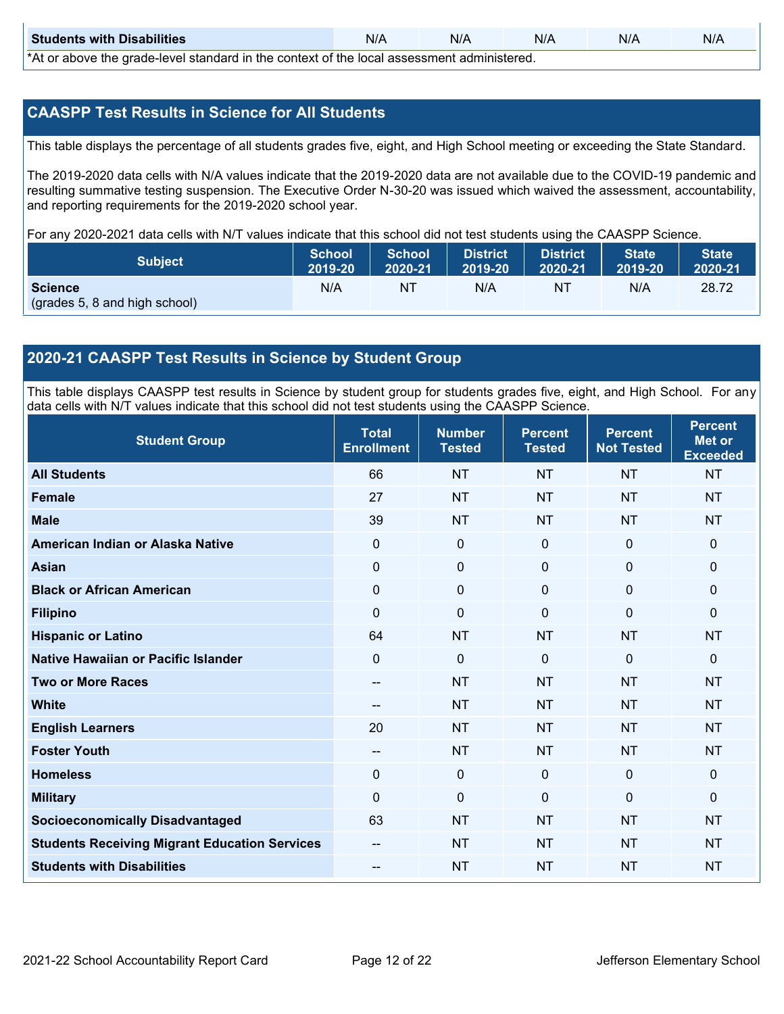| <b>Students with Disabilities</b>                                                           | N/A | N/A | N/A | N/A | N/A |  |  |
|---------------------------------------------------------------------------------------------|-----|-----|-----|-----|-----|--|--|
| *At as above the escale level standard in the context of the local accordinate admissioned. |     |     |     |     |     |  |  |

\*At or above the grade-level standard in the context of the local assessment administered.

## **CAASPP Test Results in Science for All Students**

This table displays the percentage of all students grades five, eight, and High School meeting or exceeding the State Standard.

The 2019-2020 data cells with N/A values indicate that the 2019-2020 data are not available due to the COVID-19 pandemic and resulting summative testing suspension. The Executive Order N-30-20 was issued which waived the assessment, accountability, and reporting requirements for the 2019-2020 school year.

For any 2020-2021 data cells with N/T values indicate that this school did not test students using the CAASPP Science.

| <b>Subject</b>                | <b>School</b><br>2019-20 | <b>School</b><br>2020-21 | <b>District</b><br>12019-20 | District<br>2020-21 | <b>State</b><br>2019-20 | <b>State</b><br>2020-21 |
|-------------------------------|--------------------------|--------------------------|-----------------------------|---------------------|-------------------------|-------------------------|
| <b>Science</b>                | N/A                      | NT                       | N/A                         | NT                  | N/A                     | 28.72                   |
| (grades 5, 8 and high school) |                          |                          |                             |                     |                         |                         |

## **2020-21 CAASPP Test Results in Science by Student Group**

This table displays CAASPP test results in Science by student group for students grades five, eight, and High School. For any data cells with N/T values indicate that this school did not test students using the CAASPP Science.

| <b>Student Group</b>                                 | <b>Total</b><br><b>Enrollment</b>     | <b>Number</b><br><b>Tested</b> | <b>Percent</b><br><b>Tested</b> | <b>Percent</b><br><b>Not Tested</b> | <b>Percent</b><br><b>Met or</b><br><b>Exceeded</b> |
|------------------------------------------------------|---------------------------------------|--------------------------------|---------------------------------|-------------------------------------|----------------------------------------------------|
| <b>All Students</b>                                  | 66                                    | <b>NT</b>                      | <b>NT</b>                       | <b>NT</b>                           | <b>NT</b>                                          |
| <b>Female</b>                                        | 27                                    | <b>NT</b>                      | <b>NT</b>                       | <b>NT</b>                           | <b>NT</b>                                          |
| <b>Male</b>                                          | 39                                    | <b>NT</b>                      | <b>NT</b>                       | <b>NT</b>                           | <b>NT</b>                                          |
| American Indian or Alaska Native                     | $\mathbf 0$                           | $\mathbf 0$                    | $\mathbf 0$                     | $\mathbf 0$                         | $\mathbf{0}$                                       |
| <b>Asian</b>                                         | $\mathbf 0$                           | $\mathbf 0$                    | $\mathbf 0$                     | $\mathbf 0$                         | $\mathbf 0$                                        |
| <b>Black or African American</b>                     | 0                                     | $\mathbf{0}$                   | $\mathbf 0$                     | 0                                   | $\mathbf 0$                                        |
| <b>Filipino</b>                                      | $\Omega$                              | $\mathbf 0$                    | $\Omega$                        | $\Omega$                            | $\mathbf{0}$                                       |
| <b>Hispanic or Latino</b>                            | 64                                    | <b>NT</b>                      | <b>NT</b>                       | <b>NT</b>                           | <b>NT</b>                                          |
| <b>Native Hawaiian or Pacific Islander</b>           | 0                                     | $\mathbf 0$                    | $\mathbf{0}$                    | $\mathbf{0}$                        | $\mathbf 0$                                        |
| <b>Two or More Races</b>                             | --                                    | <b>NT</b>                      | <b>NT</b>                       | <b>NT</b>                           | <b>NT</b>                                          |
| <b>White</b>                                         | $\hspace{0.05cm}$ – $\hspace{0.05cm}$ | <b>NT</b>                      | <b>NT</b>                       | <b>NT</b>                           | <b>NT</b>                                          |
| <b>English Learners</b>                              | 20                                    | <b>NT</b>                      | <b>NT</b>                       | <b>NT</b>                           | <b>NT</b>                                          |
| <b>Foster Youth</b>                                  | --                                    | <b>NT</b>                      | <b>NT</b>                       | <b>NT</b>                           | <b>NT</b>                                          |
| <b>Homeless</b>                                      | 0                                     | $\mathbf 0$                    | $\mathbf 0$                     | $\mathbf 0$                         | $\mathbf 0$                                        |
| <b>Military</b>                                      | $\Omega$                              | $\mathbf 0$                    | $\mathbf{0}$                    | $\mathbf{0}$                        | $\mathbf{0}$                                       |
| <b>Socioeconomically Disadvantaged</b>               | 63                                    | <b>NT</b>                      | <b>NT</b>                       | <b>NT</b>                           | <b>NT</b>                                          |
| <b>Students Receiving Migrant Education Services</b> |                                       | <b>NT</b>                      | <b>NT</b>                       | <b>NT</b>                           | <b>NT</b>                                          |
| <b>Students with Disabilities</b>                    | --                                    | <b>NT</b>                      | <b>NT</b>                       | <b>NT</b>                           | <b>NT</b>                                          |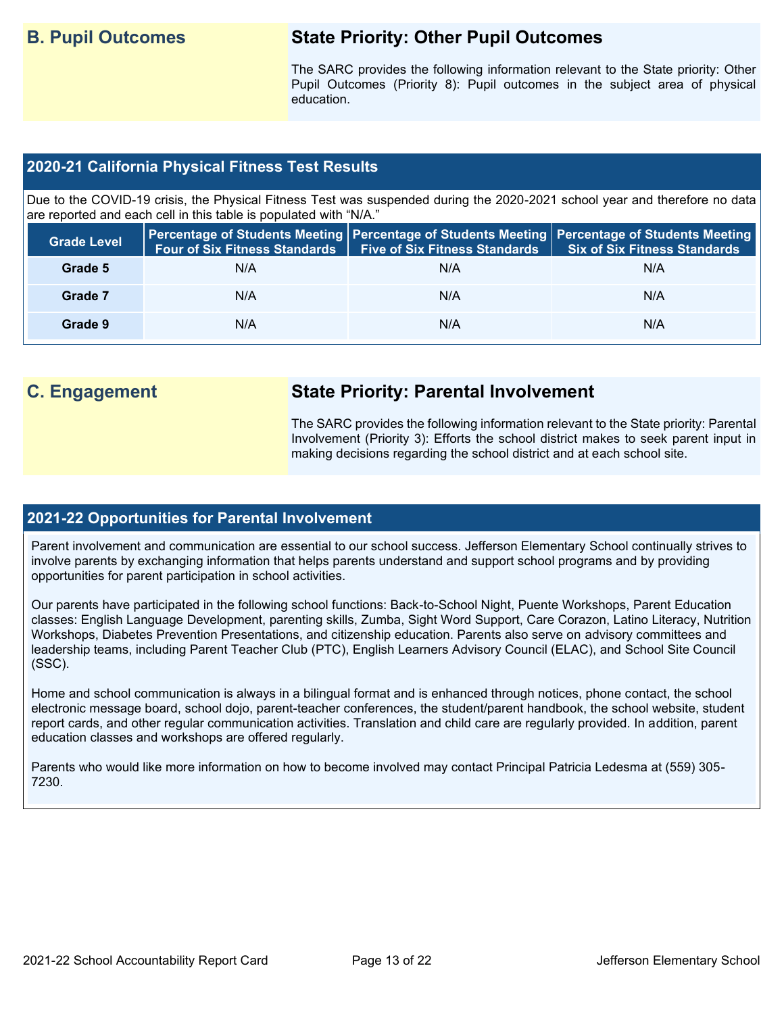## **B. Pupil Outcomes State Priority: Other Pupil Outcomes**

The SARC provides the following information relevant to the State priority: Other Pupil Outcomes (Priority 8): Pupil outcomes in the subject area of physical education.

## **2020-21 California Physical Fitness Test Results**

Due to the COVID-19 crisis, the Physical Fitness Test was suspended during the 2020-2021 school year and therefore no data are reported and each cell in this table is populated with "N/A."

| <b>Grade Level</b> | <b>Four of Six Fitness Standards</b> | <b>Five of Six Fitness Standards</b> | Percentage of Students Meeting   Percentage of Students Meeting   Percentage of Students Meeting  <br><b>Six of Six Fitness Standards</b> |
|--------------------|--------------------------------------|--------------------------------------|-------------------------------------------------------------------------------------------------------------------------------------------|
| Grade 5            | N/A                                  | N/A                                  | N/A                                                                                                                                       |
| Grade 7            | N/A                                  | N/A                                  | N/A                                                                                                                                       |
| Grade 9            | N/A                                  | N/A                                  | N/A                                                                                                                                       |

## **C. Engagement State Priority: Parental Involvement**

The SARC provides the following information relevant to the State priority: Parental Involvement (Priority 3): Efforts the school district makes to seek parent input in making decisions regarding the school district and at each school site.

### **2021-22 Opportunities for Parental Involvement**

Parent involvement and communication are essential to our school success. Jefferson Elementary School continually strives to involve parents by exchanging information that helps parents understand and support school programs and by providing opportunities for parent participation in school activities.

Our parents have participated in the following school functions: Back-to-School Night, Puente Workshops, Parent Education classes: English Language Development, parenting skills, Zumba, Sight Word Support, Care Corazon, Latino Literacy, Nutrition Workshops, Diabetes Prevention Presentations, and citizenship education. Parents also serve on advisory committees and leadership teams, including Parent Teacher Club (PTC), English Learners Advisory Council (ELAC), and School Site Council (SSC).

Home and school communication is always in a bilingual format and is enhanced through notices, phone contact, the school electronic message board, school dojo, parent-teacher conferences, the student/parent handbook, the school website, student report cards, and other regular communication activities. Translation and child care are regularly provided. In addition, parent education classes and workshops are offered regularly.

Parents who would like more information on how to become involved may contact Principal Patricia Ledesma at (559) 305- 7230.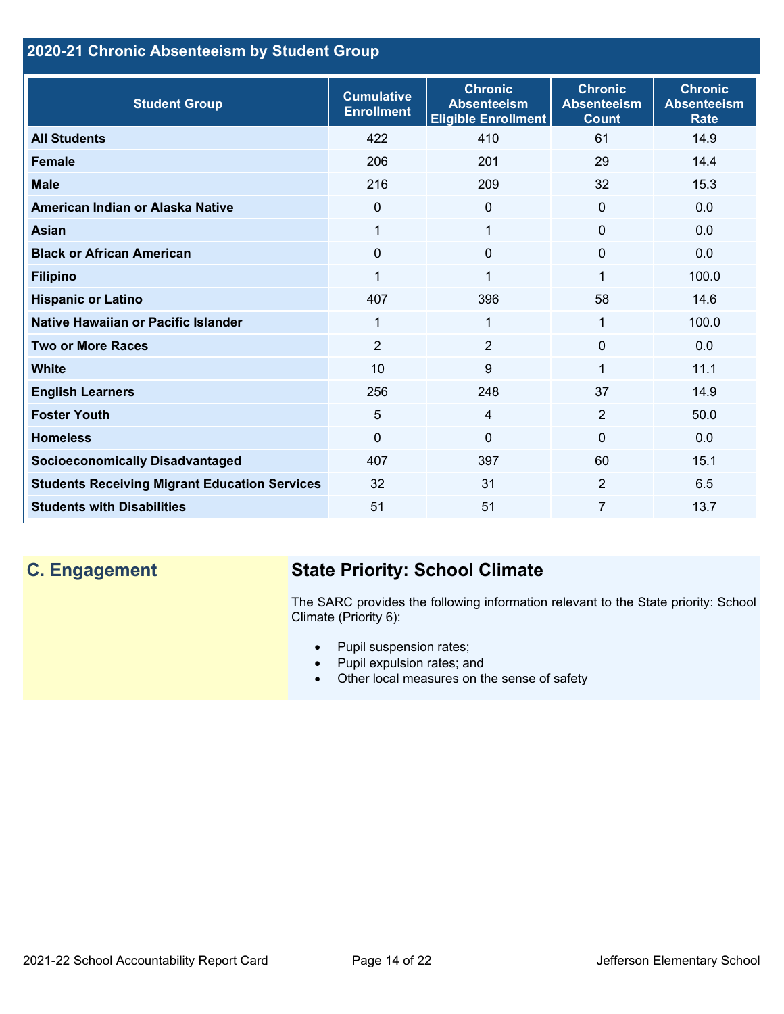## **2020-21 Chronic Absenteeism by Student Group**

| <b>Student Group</b>                                 | <b>Cumulative</b><br><b>Enrollment</b> | <b>Chronic</b><br><b>Absenteeism</b><br><b>Eligible Enrollment</b> | <b>Chronic</b><br><b>Absenteeism</b><br><b>Count</b> | <b>Chronic</b><br><b>Absenteeism</b><br><b>Rate</b> |
|------------------------------------------------------|----------------------------------------|--------------------------------------------------------------------|------------------------------------------------------|-----------------------------------------------------|
| <b>All Students</b>                                  | 422                                    | 410                                                                | 61                                                   | 14.9                                                |
| <b>Female</b>                                        | 206                                    | 201                                                                | 29                                                   | 14.4                                                |
| <b>Male</b>                                          | 216                                    | 209                                                                | 32                                                   | 15.3                                                |
| American Indian or Alaska Native                     | $\Omega$                               | $\Omega$                                                           | $\mathbf{0}$                                         | 0.0                                                 |
| <b>Asian</b>                                         | 1                                      | 1                                                                  | $\mathbf 0$                                          | 0.0                                                 |
| <b>Black or African American</b>                     | $\Omega$                               | $\Omega$                                                           | $\mathbf{0}$                                         | 0.0                                                 |
| <b>Filipino</b>                                      | 1                                      | $\mathbf 1$                                                        | 1                                                    | 100.0                                               |
| <b>Hispanic or Latino</b>                            | 407                                    | 396                                                                | 58                                                   | 14.6                                                |
| Native Hawaiian or Pacific Islander                  | 1                                      | 1                                                                  | 1                                                    | 100.0                                               |
| <b>Two or More Races</b>                             | $\overline{2}$                         | $\overline{2}$                                                     | $\mathbf{0}$                                         | 0.0                                                 |
| <b>White</b>                                         | 10                                     | 9                                                                  | 1                                                    | 11.1                                                |
| <b>English Learners</b>                              | 256                                    | 248                                                                | 37                                                   | 14.9                                                |
| <b>Foster Youth</b>                                  | 5                                      | $\overline{4}$                                                     | 2                                                    | 50.0                                                |
| <b>Homeless</b>                                      | 0                                      | $\mathbf 0$                                                        | $\Omega$                                             | 0.0                                                 |
| <b>Socioeconomically Disadvantaged</b>               | 407                                    | 397                                                                | 60                                                   | 15.1                                                |
| <b>Students Receiving Migrant Education Services</b> | 32                                     | 31                                                                 | 2                                                    | 6.5                                                 |
| <b>Students with Disabilities</b>                    | 51                                     | 51                                                                 | 7                                                    | 13.7                                                |

# **C. Engagement State Priority: School Climate**

The SARC provides the following information relevant to the State priority: School Climate (Priority 6):

- Pupil suspension rates;
- Pupil expulsion rates; and
- Other local measures on the sense of safety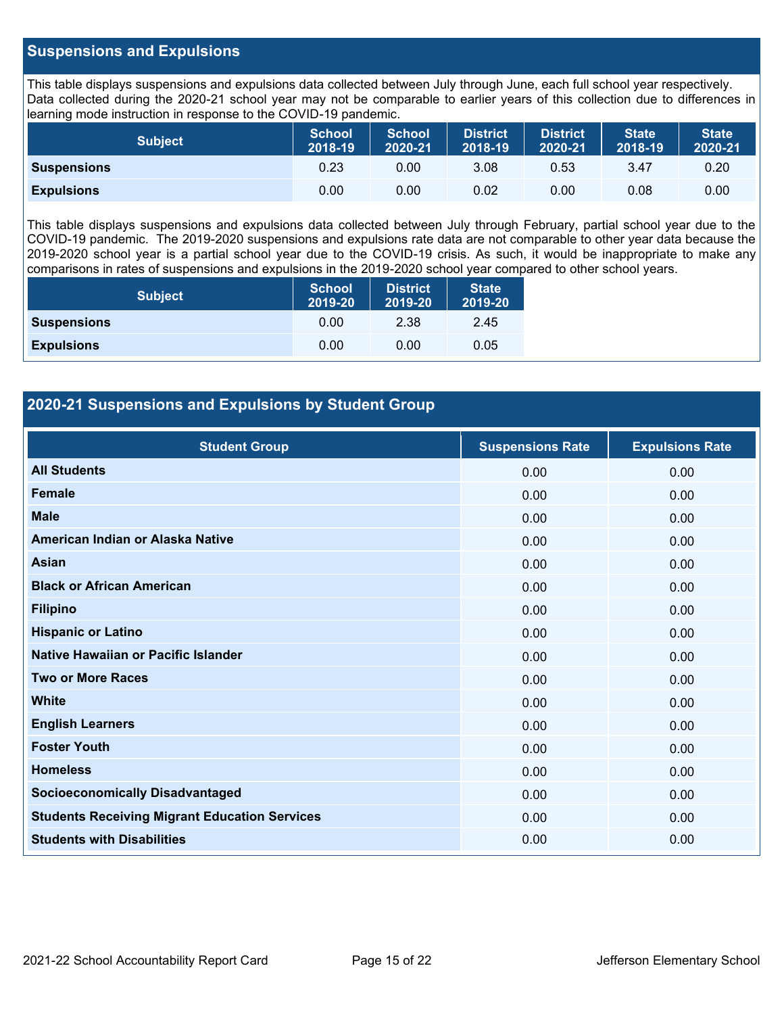## **Suspensions and Expulsions**

This table displays suspensions and expulsions data collected between July through June, each full school year respectively. Data collected during the 2020-21 school year may not be comparable to earlier years of this collection due to differences in learning mode instruction in response to the COVID-19 pandemic.

| <b>Subject</b>     | <b>School</b><br>2018-19 | <b>School</b><br>2020-21 | <b>District</b><br>2018-19 | <b>District</b><br>2020-21 | <b>State</b><br>2018-19 | <b>State</b><br>2020-21 |
|--------------------|--------------------------|--------------------------|----------------------------|----------------------------|-------------------------|-------------------------|
| <b>Suspensions</b> | 0.23                     | 0.00                     | 3.08                       | 0.53                       | 3.47                    | 0.20                    |
| <b>Expulsions</b>  | 0.00                     | 0.00                     | 0.02                       | 0.00                       | 0.08                    | 0.00                    |

This table displays suspensions and expulsions data collected between July through February, partial school year due to the COVID-19 pandemic. The 2019-2020 suspensions and expulsions rate data are not comparable to other year data because the 2019-2020 school year is a partial school year due to the COVID-19 crisis. As such, it would be inappropriate to make any comparisons in rates of suspensions and expulsions in the 2019-2020 school year compared to other school years.

| <b>Subject</b>     | <b>School</b><br>2019-20 | <b>District</b><br>2019-20 | <b>State</b><br>2019-20 |
|--------------------|--------------------------|----------------------------|-------------------------|
| <b>Suspensions</b> | 0.00                     | 2.38                       | 2.45                    |
| <b>Expulsions</b>  | 0.00                     | 0.00                       | 0.05                    |

## **2020-21 Suspensions and Expulsions by Student Group**

| <b>Student Group</b>                                 | <b>Suspensions Rate</b> | <b>Expulsions Rate</b> |
|------------------------------------------------------|-------------------------|------------------------|
| <b>All Students</b>                                  | 0.00                    | 0.00                   |
| <b>Female</b>                                        | 0.00                    | 0.00                   |
| <b>Male</b>                                          | 0.00                    | 0.00                   |
| American Indian or Alaska Native                     | 0.00                    | 0.00                   |
| Asian                                                | 0.00                    | 0.00                   |
| <b>Black or African American</b>                     | 0.00                    | 0.00                   |
| <b>Filipino</b>                                      | 0.00                    | 0.00                   |
| <b>Hispanic or Latino</b>                            | 0.00                    | 0.00                   |
| Native Hawaiian or Pacific Islander                  | 0.00                    | 0.00                   |
| <b>Two or More Races</b>                             | 0.00                    | 0.00                   |
| <b>White</b>                                         | 0.00                    | 0.00                   |
| <b>English Learners</b>                              | 0.00                    | 0.00                   |
| <b>Foster Youth</b>                                  | 0.00                    | 0.00                   |
| <b>Homeless</b>                                      | 0.00                    | 0.00                   |
| <b>Socioeconomically Disadvantaged</b>               | 0.00                    | 0.00                   |
| <b>Students Receiving Migrant Education Services</b> | 0.00                    | 0.00                   |
| <b>Students with Disabilities</b>                    | 0.00                    | 0.00                   |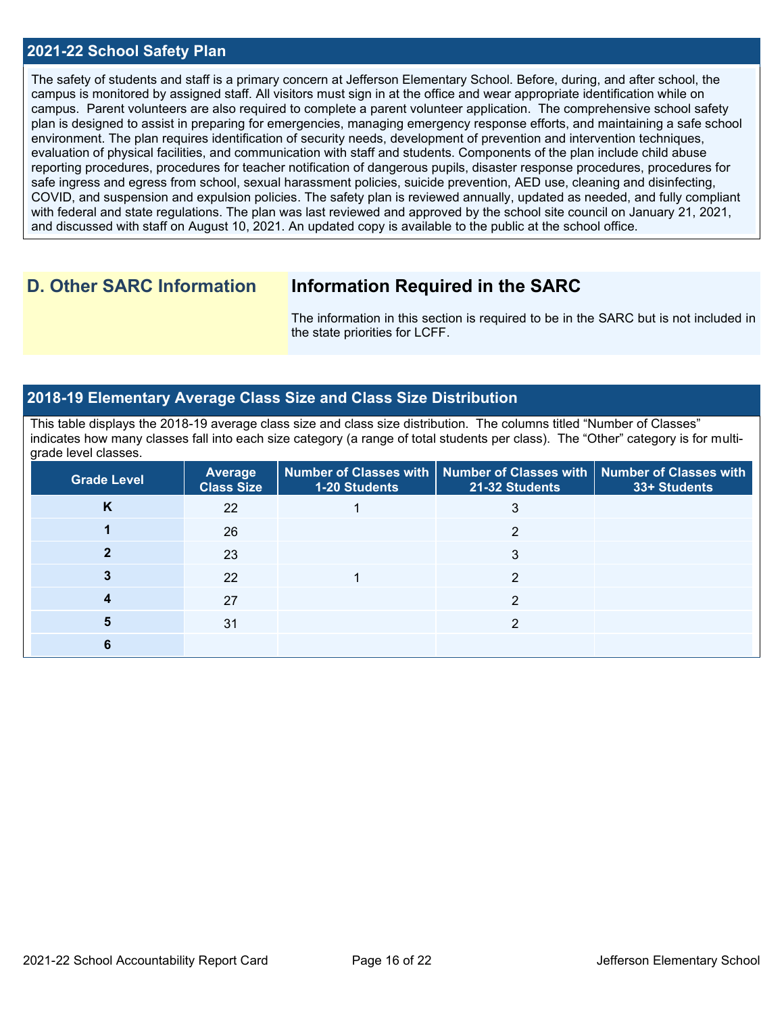## **2021-22 School Safety Plan**

The safety of students and staff is a primary concern at Jefferson Elementary School. Before, during, and after school, the campus is monitored by assigned staff. All visitors must sign in at the office and wear appropriate identification while on campus. Parent volunteers are also required to complete a parent volunteer application. The comprehensive school safety plan is designed to assist in preparing for emergencies, managing emergency response efforts, and maintaining a safe school environment. The plan requires identification of security needs, development of prevention and intervention techniques, evaluation of physical facilities, and communication with staff and students. Components of the plan include child abuse reporting procedures, procedures for teacher notification of dangerous pupils, disaster response procedures, procedures for safe ingress and egress from school, sexual harassment policies, suicide prevention, AED use, cleaning and disinfecting, COVID, and suspension and expulsion policies. The safety plan is reviewed annually, updated as needed, and fully compliant with federal and state regulations. The plan was last reviewed and approved by the school site council on January 21, 2021, and discussed with staff on August 10, 2021. An updated copy is available to the public at the school office.

## **D. Other SARC Information Information Required in the SARC**

The information in this section is required to be in the SARC but is not included in the state priorities for LCFF.

## **2018-19 Elementary Average Class Size and Class Size Distribution**

This table displays the 2018-19 average class size and class size distribution. The columns titled "Number of Classes" indicates how many classes fall into each size category (a range of total students per class). The "Other" category is for multigrade level classes.

| <b>Grade Level</b> | <b>Average</b><br><b>Class Size</b> | 1-20 Students | Number of Classes with   Number of Classes with  <br>21-32 Students | <b>Number of Classes with</b><br>33+ Students |
|--------------------|-------------------------------------|---------------|---------------------------------------------------------------------|-----------------------------------------------|
| Κ                  | 22                                  |               |                                                                     |                                               |
|                    | 26                                  |               |                                                                     |                                               |
|                    | 23                                  |               | 3                                                                   |                                               |
|                    | 22                                  |               |                                                                     |                                               |
|                    | 27                                  |               | ◠                                                                   |                                               |
|                    | 31                                  |               |                                                                     |                                               |
|                    |                                     |               |                                                                     |                                               |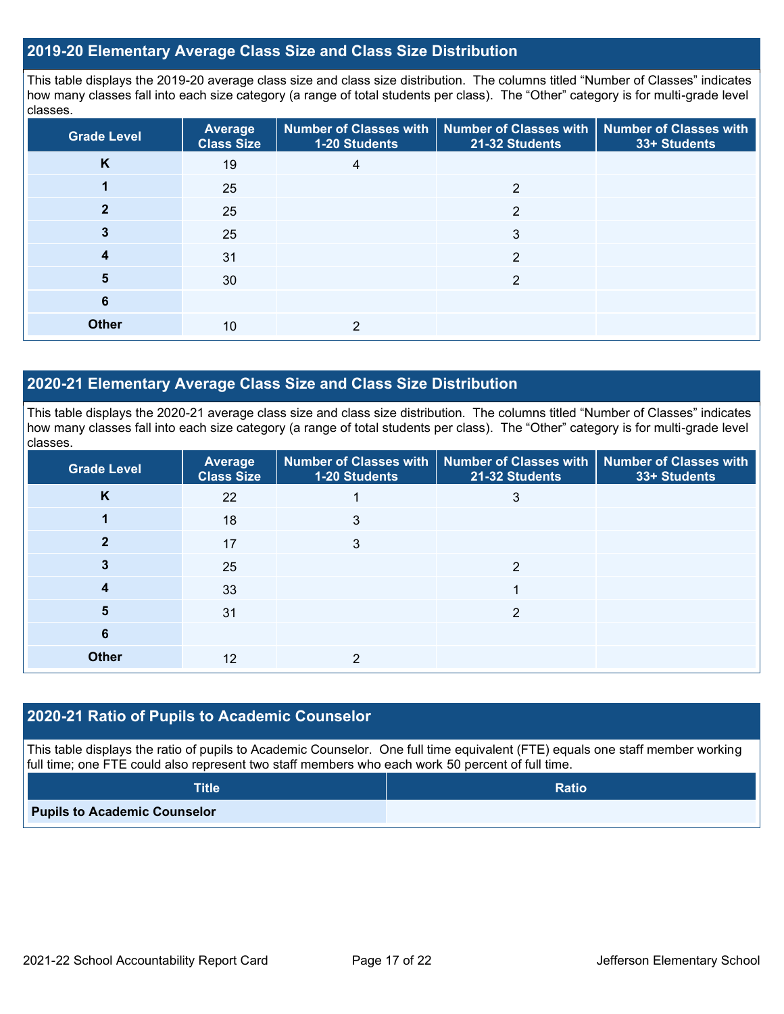## **2019-20 Elementary Average Class Size and Class Size Distribution**

This table displays the 2019-20 average class size and class size distribution. The columns titled "Number of Classes" indicates how many classes fall into each size category (a range of total students per class). The "Other" category is for multi-grade level classes.

| <b>Grade Level</b> | <b>Average</b><br><b>Class Size</b> | 1-20 Students | Number of Classes with   Number of Classes with   Number of Classes with<br>21-32 Students | 33+ Students |
|--------------------|-------------------------------------|---------------|--------------------------------------------------------------------------------------------|--------------|
| K                  | 19                                  | 4             |                                                                                            |              |
|                    | 25                                  |               | っ                                                                                          |              |
|                    | 25                                  |               | $\overline{2}$                                                                             |              |
| 3                  | 25                                  |               | 3                                                                                          |              |
| 4                  | 31                                  |               | $\overline{2}$                                                                             |              |
| 5                  | 30                                  |               | っ                                                                                          |              |
| 6                  |                                     |               |                                                                                            |              |
| <b>Other</b>       | 10                                  | 2             |                                                                                            |              |

## **2020-21 Elementary Average Class Size and Class Size Distribution**

This table displays the 2020-21 average class size and class size distribution. The columns titled "Number of Classes" indicates how many classes fall into each size category (a range of total students per class). The "Other" category is for multi-grade level classes.

| <b>Grade Level</b> | <b>Average</b><br><b>Class Size</b> | 1-20 Students | Number of Classes with   Number of Classes with   Number of Classes with<br>21-32 Students | 33+ Students |
|--------------------|-------------------------------------|---------------|--------------------------------------------------------------------------------------------|--------------|
| K                  | 22                                  |               | 3                                                                                          |              |
|                    | 18                                  | 3             |                                                                                            |              |
|                    | 17                                  | 3             |                                                                                            |              |
|                    | 25                                  |               | っ                                                                                          |              |
| 4                  | 33                                  |               |                                                                                            |              |
| 5                  | 31                                  |               | 2                                                                                          |              |
| 6                  |                                     |               |                                                                                            |              |
| <b>Other</b>       | 12                                  | ≘             |                                                                                            |              |

### **2020-21 Ratio of Pupils to Academic Counselor**

This table displays the ratio of pupils to Academic Counselor. One full time equivalent (FTE) equals one staff member working full time; one FTE could also represent two staff members who each work 50 percent of full time.

| <b>Title</b>                        | <b>Ratio</b> |
|-------------------------------------|--------------|
| <b>Pupils to Academic Counselor</b> |              |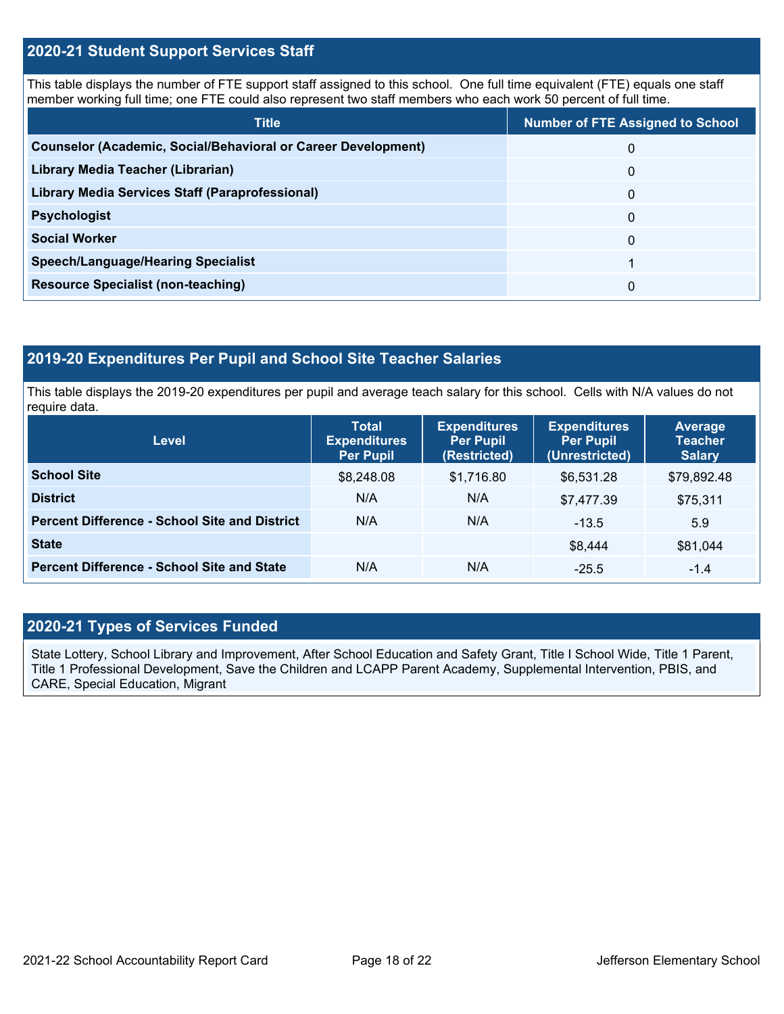## **2020-21 Student Support Services Staff**

This table displays the number of FTE support staff assigned to this school. One full time equivalent (FTE) equals one staff member working full time; one FTE could also represent two staff members who each work 50 percent of full time.

| <b>Title</b>                                                         | <b>Number of FTE Assigned to School</b> |
|----------------------------------------------------------------------|-----------------------------------------|
| <b>Counselor (Academic, Social/Behavioral or Career Development)</b> | 0                                       |
| Library Media Teacher (Librarian)                                    | 0                                       |
| Library Media Services Staff (Paraprofessional)                      | 0                                       |
| <b>Psychologist</b>                                                  | 0                                       |
| <b>Social Worker</b>                                                 | $\Omega$                                |
| <b>Speech/Language/Hearing Specialist</b>                            |                                         |
| <b>Resource Specialist (non-teaching)</b>                            | 0                                       |

## **2019-20 Expenditures Per Pupil and School Site Teacher Salaries**

This table displays the 2019-20 expenditures per pupil and average teach salary for this school. Cells with N/A values do not require data.

| Level                                                | <b>Total</b><br><b>Expenditures</b><br>Per Pupil | <b>Expenditures</b><br><b>Per Pupil</b><br>(Restricted) | <b>Expenditures</b><br><b>Per Pupil</b><br>(Unrestricted) | <b>Average</b><br><b>Teacher</b><br><b>Salary</b> |
|------------------------------------------------------|--------------------------------------------------|---------------------------------------------------------|-----------------------------------------------------------|---------------------------------------------------|
| <b>School Site</b>                                   | \$8,248.08                                       | \$1,716.80                                              | \$6.531.28                                                | \$79,892.48                                       |
| <b>District</b>                                      | N/A                                              | N/A                                                     | \$7,477.39                                                | \$75,311                                          |
| <b>Percent Difference - School Site and District</b> | N/A                                              | N/A                                                     | $-13.5$                                                   | 5.9                                               |
| <b>State</b>                                         |                                                  |                                                         | \$8,444                                                   | \$81,044                                          |
| <b>Percent Difference - School Site and State</b>    | N/A                                              | N/A                                                     | $-25.5$                                                   | $-1.4$                                            |

## **2020-21 Types of Services Funded**

State Lottery, School Library and Improvement, After School Education and Safety Grant, Title I School Wide, Title 1 Parent, Title 1 Professional Development, Save the Children and LCAPP Parent Academy, Supplemental Intervention, PBIS, and CARE, Special Education, Migrant-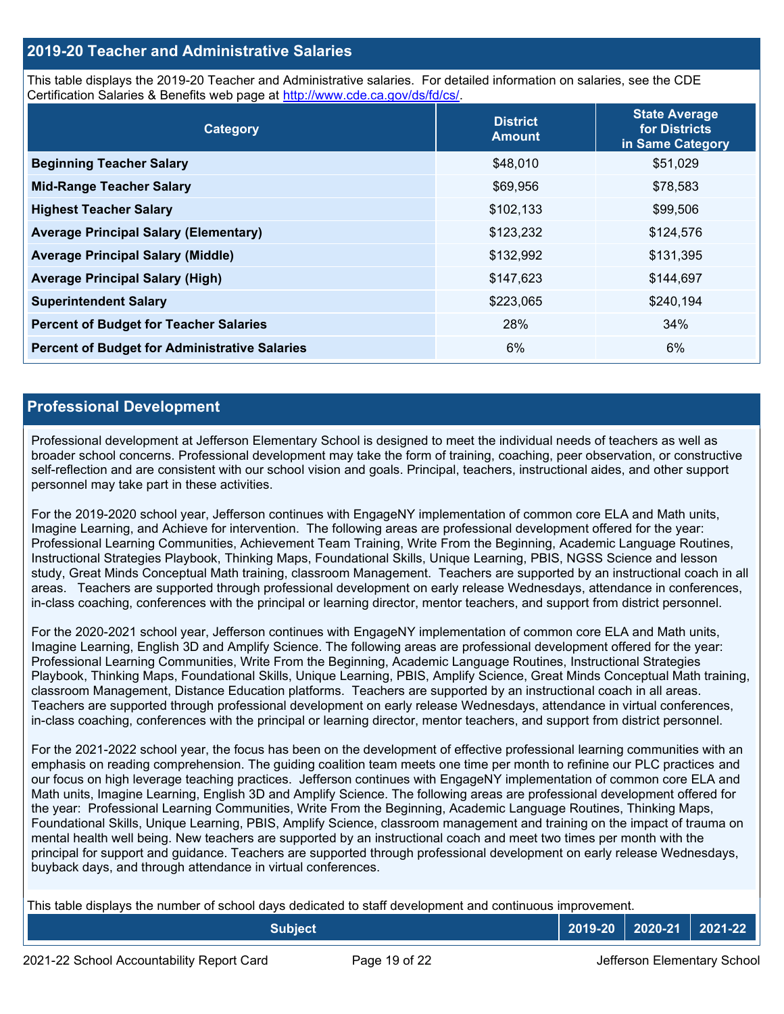## **2019-20 Teacher and Administrative Salaries**

This table displays the 2019-20 Teacher and Administrative salaries. For detailed information on salaries, see the CDE Certification Salaries & Benefits web page at [http://www.cde.ca.gov/ds/fd/cs/.](http://www.cde.ca.gov/ds/fd/cs/)

| Category                                             | <b>District</b><br><b>Amount</b> | <b>State Average</b><br>for Districts<br>in Same Category |
|------------------------------------------------------|----------------------------------|-----------------------------------------------------------|
| <b>Beginning Teacher Salary</b>                      | \$48,010                         | \$51,029                                                  |
| <b>Mid-Range Teacher Salary</b>                      | \$69,956                         | \$78,583                                                  |
| <b>Highest Teacher Salary</b>                        | \$102,133                        | \$99,506                                                  |
| <b>Average Principal Salary (Elementary)</b>         | \$123,232                        | \$124,576                                                 |
| <b>Average Principal Salary (Middle)</b>             | \$132,992                        | \$131,395                                                 |
| <b>Average Principal Salary (High)</b>               | \$147,623                        | \$144,697                                                 |
| <b>Superintendent Salary</b>                         | \$223,065                        | \$240,194                                                 |
| <b>Percent of Budget for Teacher Salaries</b>        | 28%                              | 34%                                                       |
| <b>Percent of Budget for Administrative Salaries</b> | 6%                               | 6%                                                        |

### **Professional Development**

Professional development at Jefferson Elementary School is designed to meet the individual needs of teachers as well as broader school concerns. Professional development may take the form of training, coaching, peer observation, or constructive self-reflection and are consistent with our school vision and goals. Principal, teachers, instructional aides, and other support personnel may take part in these activities.

For the 2019-2020 school year, Jefferson continues with EngageNY implementation of common core ELA and Math units, Imagine Learning, and Achieve for intervention. The following areas are professional development offered for the year: Professional Learning Communities, Achievement Team Training, Write From the Beginning, Academic Language Routines, Instructional Strategies Playbook, Thinking Maps, Foundational Skills, Unique Learning, PBIS, NGSS Science and lesson study, Great Minds Conceptual Math training, classroom Management. Teachers are supported by an instructional coach in all areas. Teachers are supported through professional development on early release Wednesdays, attendance in conferences, in-class coaching, conferences with the principal or learning director, mentor teachers, and support from district personnel.

For the 2020-2021 school year, Jefferson continues with EngageNY implementation of common core ELA and Math units, Imagine Learning, English 3D and Amplify Science. The following areas are professional development offered for the year: Professional Learning Communities, Write From the Beginning, Academic Language Routines, Instructional Strategies Playbook, Thinking Maps, Foundational Skills, Unique Learning, PBIS, Amplify Science, Great Minds Conceptual Math training, classroom Management, Distance Education platforms. Teachers are supported by an instructional coach in all areas. Teachers are supported through professional development on early release Wednesdays, attendance in virtual conferences, in-class coaching, conferences with the principal or learning director, mentor teachers, and support from district personnel.

For the 2021-2022 school year, the focus has been on the development of effective professional learning communities with an emphasis on reading comprehension. The guiding coalition team meets one time per month to refinine our PLC practices and our focus on high leverage teaching practices. Jefferson continues with EngageNY implementation of common core ELA and Math units, Imagine Learning, English 3D and Amplify Science. The following areas are professional development offered for the year: Professional Learning Communities, Write From the Beginning, Academic Language Routines, Thinking Maps, Foundational Skills, Unique Learning, PBIS, Amplify Science, classroom management and training on the impact of trauma on mental health well being. New teachers are supported by an instructional coach and meet two times per month with the principal for support and guidance. Teachers are supported through professional development on early release Wednesdays, buyback days, and through attendance in virtual conferences.

This table displays the number of school days dedicated to staff development and continuous improvement.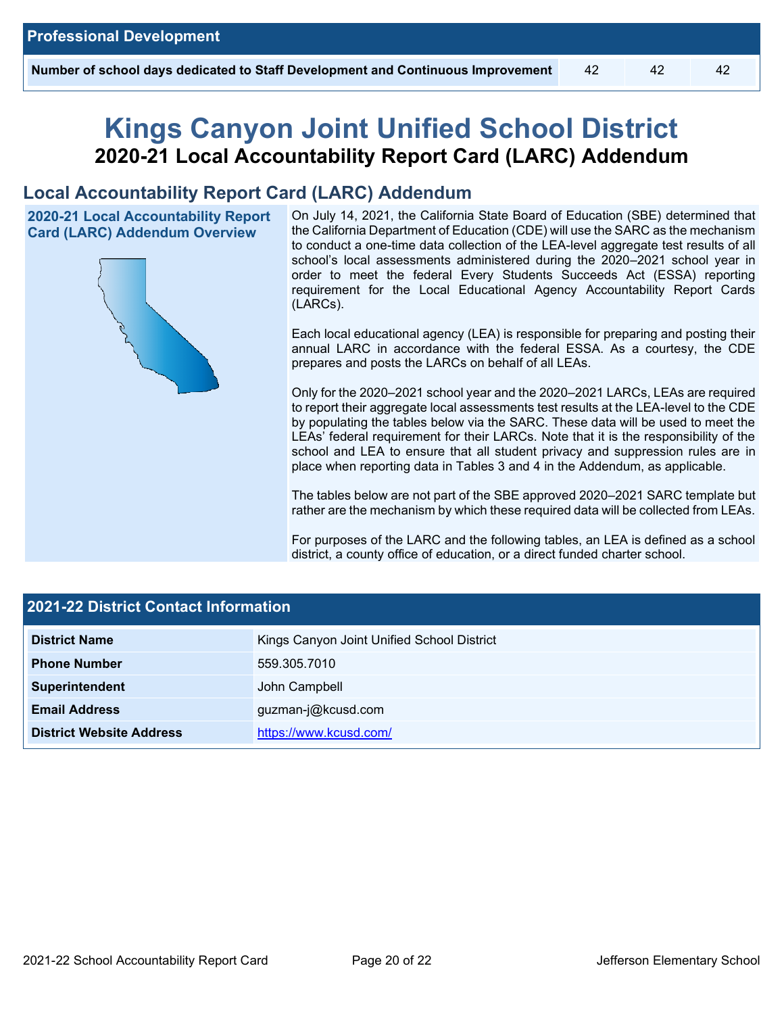# **Kings Canyon Joint Unified School District 2020-21 Local Accountability Report Card (LARC) Addendum**

## **Local Accountability Report Card (LARC) Addendum**

**2020-21 Local Accountability Report Card (LARC) Addendum Overview**



On July 14, 2021, the California State Board of Education (SBE) determined that the California Department of Education (CDE) will use the SARC as the mechanism to conduct a one-time data collection of the LEA-level aggregate test results of all school's local assessments administered during the 2020–2021 school year in order to meet the federal Every Students Succeeds Act (ESSA) reporting requirement for the Local Educational Agency Accountability Report Cards (LARCs).

Each local educational agency (LEA) is responsible for preparing and posting their annual LARC in accordance with the federal ESSA. As a courtesy, the CDE prepares and posts the LARCs on behalf of all LEAs.

Only for the 2020–2021 school year and the 2020–2021 LARCs, LEAs are required to report their aggregate local assessments test results at the LEA-level to the CDE by populating the tables below via the SARC. These data will be used to meet the LEAs' federal requirement for their LARCs. Note that it is the responsibility of the school and LEA to ensure that all student privacy and suppression rules are in place when reporting data in Tables 3 and 4 in the Addendum, as applicable.

The tables below are not part of the SBE approved 2020–2021 SARC template but rather are the mechanism by which these required data will be collected from LEAs.

For purposes of the LARC and the following tables, an LEA is defined as a school district, a county office of education, or a direct funded charter school.

| <b>2021-22 District Contact Information</b> |                                            |  |  |  |
|---------------------------------------------|--------------------------------------------|--|--|--|
| <b>District Name</b>                        | Kings Canyon Joint Unified School District |  |  |  |
| <b>Phone Number</b>                         | 559.305.7010                               |  |  |  |
| Superintendent                              | John Campbell                              |  |  |  |
| <b>Email Address</b><br>guzman-j@kcusd.com  |                                            |  |  |  |
| <b>District Website Address</b>             | https://www.kcusd.com/                     |  |  |  |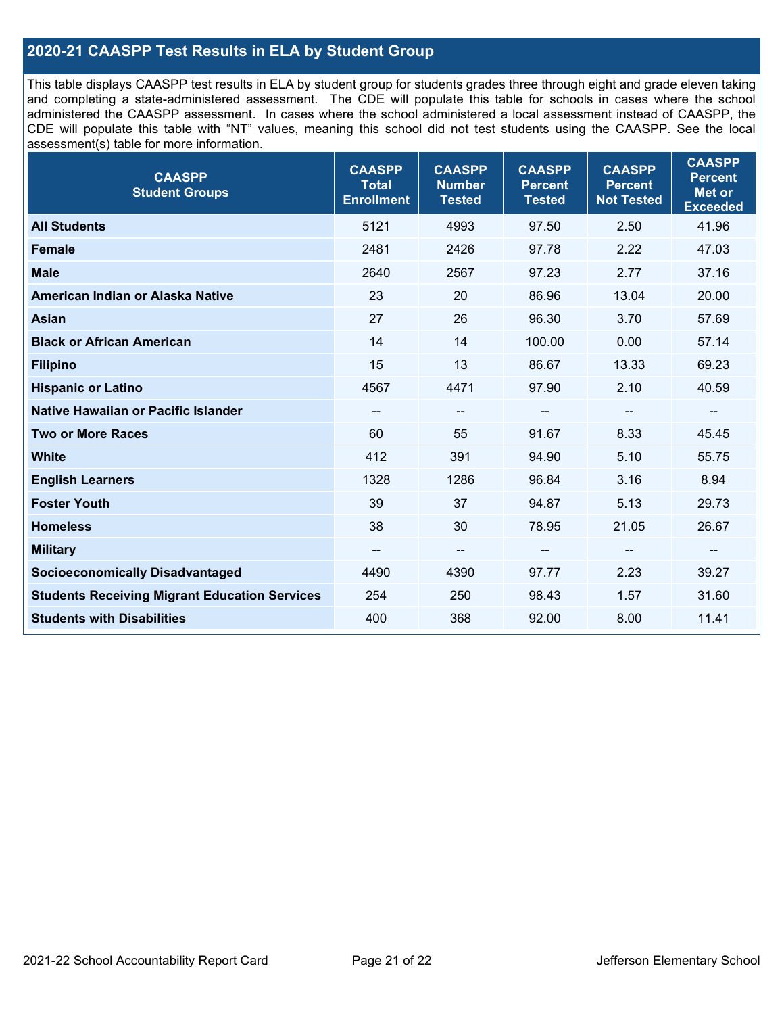## **2020-21 CAASPP Test Results in ELA by Student Group**

This table displays CAASPP test results in ELA by student group for students grades three through eight and grade eleven taking and completing a state-administered assessment. The CDE will populate this table for schools in cases where the school administered the CAASPP assessment. In cases where the school administered a local assessment instead of CAASPP, the CDE will populate this table with "NT" values, meaning this school did not test students using the CAASPP. See the local assessment(s) table for more information.

| <b>CAASPP</b><br><b>Student Groups</b>               | <b>CAASPP</b><br><b>Total</b><br><b>Enrollment</b> | <b>CAASPP</b><br><b>Number</b><br><b>Tested</b> | <b>CAASPP</b><br><b>Percent</b><br><b>Tested</b> | <b>CAASPP</b><br><b>Percent</b><br><b>Not Tested</b> | <b>CAASPP</b><br><b>Percent</b><br><b>Met or</b><br><b>Exceeded</b> |
|------------------------------------------------------|----------------------------------------------------|-------------------------------------------------|--------------------------------------------------|------------------------------------------------------|---------------------------------------------------------------------|
| <b>All Students</b>                                  | 5121                                               | 4993                                            | 97.50                                            | 2.50                                                 | 41.96                                                               |
| <b>Female</b>                                        | 2481                                               | 2426                                            | 97.78                                            | 2.22                                                 | 47.03                                                               |
| <b>Male</b>                                          | 2640                                               | 2567                                            | 97.23                                            | 2.77                                                 | 37.16                                                               |
| American Indian or Alaska Native                     | 23                                                 | 20                                              | 86.96                                            | 13.04                                                | 20.00                                                               |
| <b>Asian</b>                                         | 27                                                 | 26                                              | 96.30                                            | 3.70                                                 | 57.69                                                               |
| <b>Black or African American</b>                     | 14                                                 | 14                                              | 100.00                                           | 0.00                                                 | 57.14                                                               |
| <b>Filipino</b>                                      | 15                                                 | 13                                              | 86.67                                            | 13.33                                                | 69.23                                                               |
| <b>Hispanic or Latino</b>                            | 4567                                               | 4471                                            | 97.90                                            | 2.10                                                 | 40.59                                                               |
| Native Hawaiian or Pacific Islander                  | --                                                 | $\overline{\phantom{m}}$                        | --                                               | $\overline{\phantom{a}}$                             | $\overline{\phantom{a}}$                                            |
| <b>Two or More Races</b>                             | 60                                                 | 55                                              | 91.67                                            | 8.33                                                 | 45.45                                                               |
| <b>White</b>                                         | 412                                                | 391                                             | 94.90                                            | 5.10                                                 | 55.75                                                               |
| <b>English Learners</b>                              | 1328                                               | 1286                                            | 96.84                                            | 3.16                                                 | 8.94                                                                |
| <b>Foster Youth</b>                                  | 39                                                 | 37                                              | 94.87                                            | 5.13                                                 | 29.73                                                               |
| <b>Homeless</b>                                      | 38                                                 | 30                                              | 78.95                                            | 21.05                                                | 26.67                                                               |
| <b>Military</b>                                      | --                                                 | --                                              | --                                               | --                                                   | --                                                                  |
| <b>Socioeconomically Disadvantaged</b>               | 4490                                               | 4390                                            | 97.77                                            | 2.23                                                 | 39.27                                                               |
| <b>Students Receiving Migrant Education Services</b> | 254                                                | 250                                             | 98.43                                            | 1.57                                                 | 31.60                                                               |
| <b>Students with Disabilities</b>                    | 400                                                | 368                                             | 92.00                                            | 8.00                                                 | 11.41                                                               |